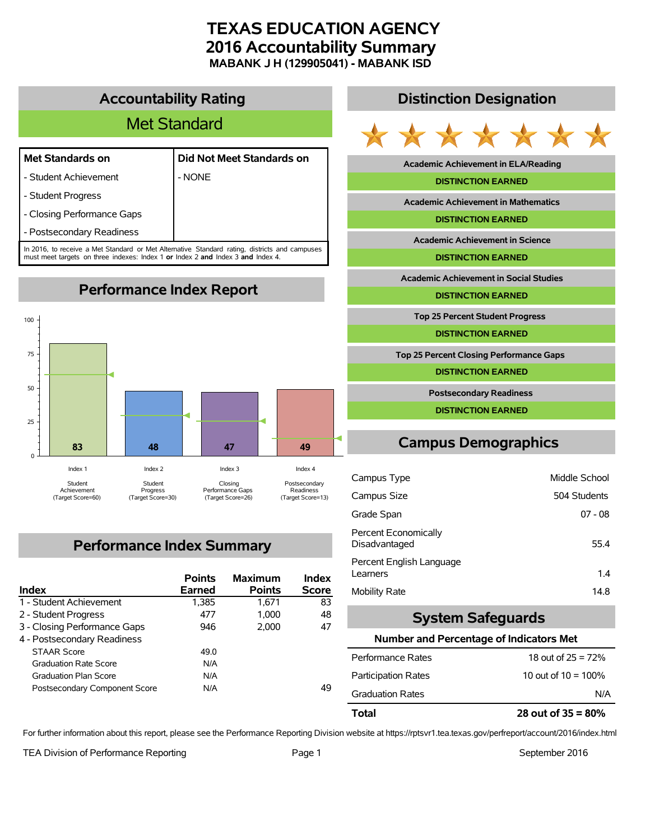# **TEXAS EDUCATION AGENCY 2016 Accountability Summary MABANK J H (129905041) - MABANK ISD**

## **Accountability Rating**

# Met Standard

#### **Met Standards on Did Not Meet Standards on**

- Student Achievement | NONE
- Student Progress
- Closing Performance Gaps
- Postsecondary Readiness

In 2016, to receive a Met Standard or Met Alternative Standard rating, districts and campuses must meet targets on three indexes: Index 1 **or** Index 2 **and** Index 3 **and** Index 4.

**Performance Index Report**



# **Performance Index Summary**

| <b>Index</b>                  | <b>Points</b><br><b>Earned</b> | <b>Maximum</b><br><b>Points</b> | <b>Index</b><br><b>Score</b> |
|-------------------------------|--------------------------------|---------------------------------|------------------------------|
| 1 - Student Achievement       | 1,385                          | 1.671                           | 83                           |
| 2 - Student Progress          | 477                            | 1.000                           | 48                           |
| 3 - Closing Performance Gaps  | 946                            | 2.000                           | 47                           |
| 4 - Postsecondary Readiness   |                                |                                 |                              |
| <b>STAAR Score</b>            | 49.0                           |                                 |                              |
| <b>Graduation Rate Score</b>  | N/A                            |                                 |                              |
| <b>Graduation Plan Score</b>  | N/A                            |                                 |                              |
| Postsecondary Component Score | N/A                            |                                 | 49                           |

## **Distinction Designation**



**Academic Achievement in ELA/Reading**

#### **DISTINCTION EARNED**

**Academic Achievement in Mathematics**

**DISTINCTION EARNED**

**Academic Achievement in Science**

**DISTINCTION EARNED**

**Academic Achievement in Social Studies**

**DISTINCTION EARNED**

**Top 25 Percent Student Progress**

**DISTINCTION EARNED**

**Top 25 Percent Closing Performance Gaps**

**DISTINCTION EARNED**

**Postsecondary Readiness**

**DISTINCTION EARNED**

# **Campus Demographics**

| Campus Type                           | Middle School |
|---------------------------------------|---------------|
| Campus Size                           | 504 Students  |
| Grade Span                            | $07 - 08$     |
| Percent Economically<br>Disadvantaged | 55.4          |
| Percent English Language<br>Learners  | 1.4           |
| Mobility Rate                         | 14.8          |

## **System Safeguards**

#### **Number and Percentage of Indicators Met**

| Total                      | 28 out of $35 = 80\%$  |
|----------------------------|------------------------|
| <b>Graduation Rates</b>    | N/A                    |
| <b>Participation Rates</b> | 10 out of $10 = 100\%$ |
| Performance Rates          | 18 out of $25 = 72%$   |

For further information about this report, please see the Performance Reporting Division website at https://rptsvr1.tea.texas.gov/perfreport/account/2016/index.html

TEA Division of Performance Reporting TEA Division of Performance Reporting Team Page 1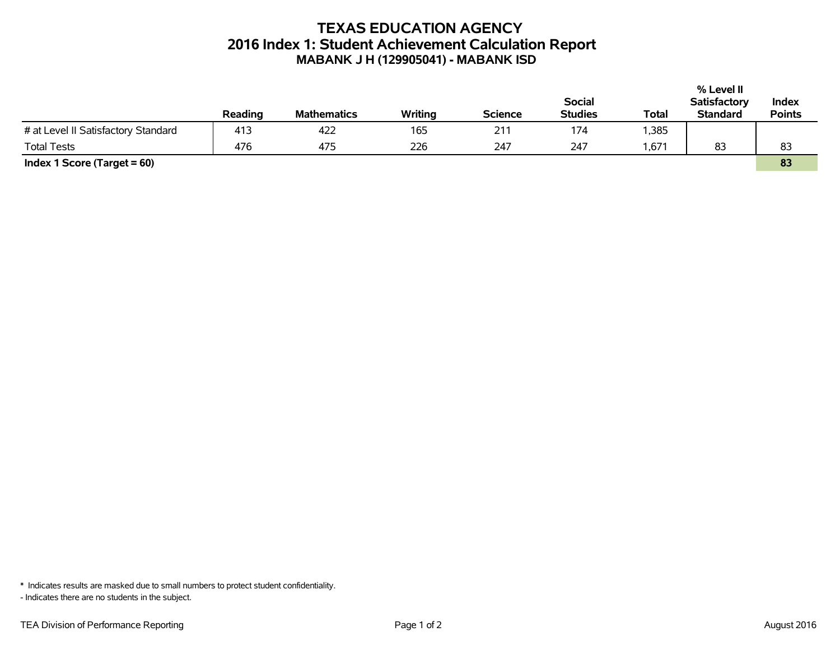# **TEXAS EDUCATION AGENCY 2016 Index 1: Student Achievement Calculation Report MABANK J H (129905041) - MABANK ISD**

|                                     |         |                    |         |                |                |       | % Level II          |               |
|-------------------------------------|---------|--------------------|---------|----------------|----------------|-------|---------------------|---------------|
|                                     |         |                    |         |                | <b>Social</b>  |       | <b>Satisfactory</b> | Index         |
|                                     | Reading | <b>Mathematics</b> | Writing | <b>Science</b> | <b>Studies</b> | Total | <b>Standard</b>     | <b>Points</b> |
| # at Level II Satisfactory Standard | 413     | 422                | 165     | 211            | 174            | ,385  |                     |               |
| <b>Total Tests</b>                  | 476     | 475                | 226     | 247            | 247            | .671  | 83                  | 83            |
| Index 1 Score (Target $= 60$ )      |         |                    |         |                |                |       |                     | 83            |

\* Indicates results are masked due to small numbers to protect student confidentiality.

- Indicates there are no students in the subject.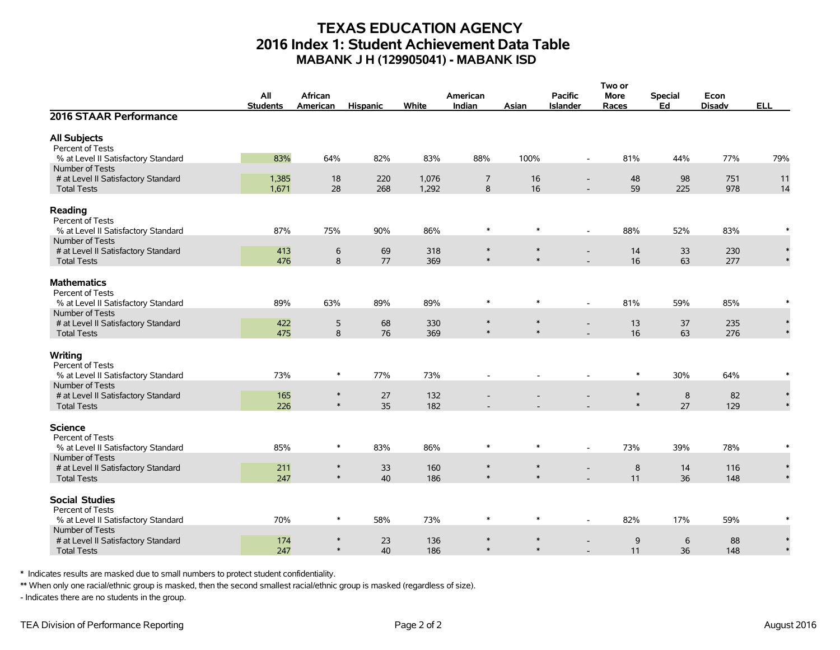# **TEXAS EDUCATION AGENCY 2016 Index 1: Student Achievement Data Table MABANK J H (129905041) - MABANK ISD**

|                                                        |                 |                  |                 |       |          |        |                          | Two or      |                |               |            |
|--------------------------------------------------------|-----------------|------------------|-----------------|-------|----------|--------|--------------------------|-------------|----------------|---------------|------------|
|                                                        | All             | African          |                 |       | American |        | <b>Pacific</b>           | <b>More</b> | <b>Special</b> | Econ          |            |
|                                                        | <b>Students</b> | American         | <b>Hispanic</b> | White | Indian   | Asian  | <b>Islander</b>          | Races       | Ed             | <b>Disadv</b> | <b>ELL</b> |
| 2016 STAAR Performance                                 |                 |                  |                 |       |          |        |                          |             |                |               |            |
| <b>All Subjects</b>                                    |                 |                  |                 |       |          |        |                          |             |                |               |            |
| Percent of Tests                                       |                 |                  |                 |       |          |        |                          |             |                |               |            |
| % at Level II Satisfactory Standard                    | 83%             | 64%              | 82%             | 83%   | 88%      | 100%   | $\overline{\phantom{a}}$ | 81%         | 44%            | 77%           | 79%        |
| Number of Tests                                        |                 |                  |                 |       |          |        |                          |             |                |               |            |
| # at Level II Satisfactory Standard                    | 1,385           | 18               | 220             | 1,076 | 7        | 16     | $\overline{\phantom{a}}$ | 48          | 98             | 751           | 11         |
| <b>Total Tests</b>                                     | 1,671           | 28               | 268             | 1,292 | 8        | 16     |                          | 59          | 225            | 978           | 14         |
| Reading<br>Percent of Tests                            |                 |                  |                 |       |          |        |                          |             |                |               |            |
| % at Level II Satisfactory Standard                    | 87%             | 75%              | 90%             | 86%   | $\ast$   | $\ast$ | $\sim$                   | 88%         | 52%            | 83%           | $\ast$     |
| Number of Tests                                        |                 |                  |                 |       |          |        |                          |             |                |               |            |
| # at Level II Satisfactory Standard                    | 413             | 6                | 69              | 318   | $\ast$   | $\ast$ |                          | 14          | 33             | 230           | $\ast$     |
| <b>Total Tests</b>                                     | 476             | 8                | 77              | 369   | $\ast$   | $\ast$ |                          | 16          | 63             | 277           |            |
|                                                        |                 |                  |                 |       |          |        |                          |             |                |               |            |
| <b>Mathematics</b>                                     |                 |                  |                 |       |          |        |                          |             |                |               |            |
| Percent of Tests                                       |                 |                  |                 |       | $\ast$   | $\ast$ |                          |             |                |               |            |
| % at Level II Satisfactory Standard                    | 89%             | 63%              | 89%             | 89%   |          |        | $\overline{\phantom{a}}$ | 81%         | 59%            | 85%           |            |
| Number of Tests<br># at Level II Satisfactory Standard | 422             | 5                | 68              | 330   | $\ast$   | $\ast$ |                          | 13          | 37             | 235           |            |
| <b>Total Tests</b>                                     | 475             | $\boldsymbol{8}$ | 76              | 369   | $\ast$   | $\ast$ |                          | 16          | 63             | 276           |            |
|                                                        |                 |                  |                 |       |          |        |                          |             |                |               |            |
| Writing                                                |                 |                  |                 |       |          |        |                          |             |                |               |            |
| Percent of Tests                                       |                 |                  |                 |       |          |        |                          |             |                |               |            |
| % at Level II Satisfactory Standard                    | 73%             | $\ast$           | 77%             | 73%   |          |        |                          | ∗           | 30%            | 64%           |            |
| Number of Tests                                        |                 |                  |                 |       |          |        |                          |             |                |               |            |
| # at Level II Satisfactory Standard                    | 165             | $\ast$           | 27              | 132   |          |        |                          | $\ast$      | 8              | 82            |            |
| <b>Total Tests</b>                                     | 226             | $\ast$           | 35              | 182   |          |        |                          | $\ast$      | 27             | 129           |            |
| <b>Science</b>                                         |                 |                  |                 |       |          |        |                          |             |                |               |            |
| Percent of Tests                                       |                 |                  |                 |       |          |        |                          |             |                |               |            |
| % at Level II Satisfactory Standard                    | 85%             | $\ast$           | 83%             | 86%   | $\ast$   | $\ast$ |                          | 73%         | 39%            | 78%           |            |
| Number of Tests                                        |                 |                  |                 |       |          |        |                          |             |                |               |            |
| # at Level II Satisfactory Standard                    | 211             | $\ast$           | 33              | 160   | $\ast$   | $\ast$ |                          | $\bf 8$     | 14             | 116           |            |
| <b>Total Tests</b>                                     | 247             | $\ast$           | 40              | 186   | $\ast$   | $\ast$ |                          | 11          | 36             | 148           |            |
|                                                        |                 |                  |                 |       |          |        |                          |             |                |               |            |
| <b>Social Studies</b><br>Percent of Tests              |                 |                  |                 |       |          |        |                          |             |                |               |            |
| % at Level II Satisfactory Standard                    | 70%             | $\ast$           | 58%             | 73%   | $\ast$   | $\ast$ | $\overline{\phantom{a}}$ | 82%         | 17%            | 59%           |            |
| Number of Tests                                        |                 |                  |                 |       |          |        |                          |             |                |               |            |
| # at Level II Satisfactory Standard                    | 174             | $\ast$           | 23              | 136   | $\ast$   | $\ast$ |                          | 9           | 6              | 88            |            |
| <b>Total Tests</b>                                     | 247             | $\ast$           | 40              | 186   | $\ast$   | $\ast$ |                          | 11          | 36             | 148           |            |

\* Indicates results are masked due to small numbers to protect student confidentiality.

\*\* When only one racial/ethnic group is masked, then the second smallest racial/ethnic group is masked (regardless of size).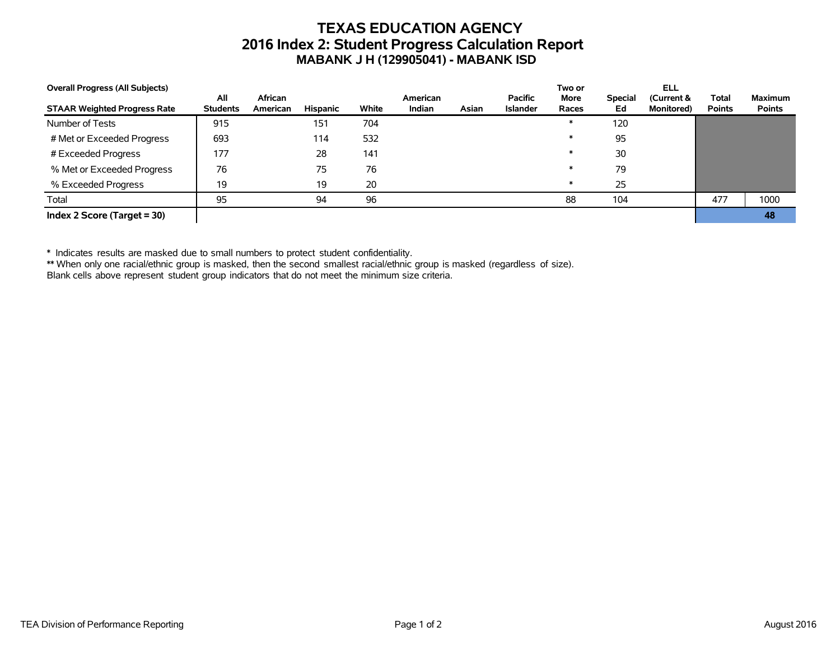# **TEXAS EDUCATION AGENCY 2016 Index 2: Student Progress Calculation Report MABANK J H (129905041) - MABANK ISD**

| <b>Overall Progress (All Subjects)</b> |                        |                     |          |       |                    |       |                                   | Two or               |                      | ELL                              |                               |                                 |
|----------------------------------------|------------------------|---------------------|----------|-------|--------------------|-------|-----------------------------------|----------------------|----------------------|----------------------------------|-------------------------------|---------------------------------|
| <b>STAAR Weighted Progress Rate</b>    | All<br><b>Students</b> | African<br>American | Hispanic | White | American<br>Indian | Asian | <b>Pacific</b><br><b>Islander</b> | <b>More</b><br>Races | <b>Special</b><br>Ed | (Current &<br><b>Monitored</b> ) | <b>Total</b><br><b>Points</b> | <b>Maximum</b><br><b>Points</b> |
| Number of Tests                        | 915                    |                     | 151      | 704   |                    |       |                                   | $\ast$               | 120                  |                                  |                               |                                 |
| # Met or Exceeded Progress             | 693                    |                     | 114      | 532   |                    |       |                                   | $\ast$               | 95                   |                                  |                               |                                 |
| # Exceeded Progress                    | 177                    |                     | 28       | 141   |                    |       |                                   | $\ast$               | 30                   |                                  |                               |                                 |
| % Met or Exceeded Progress             | 76                     |                     | 75       | 76    |                    |       |                                   | $\ast$               | 79                   |                                  |                               |                                 |
| % Exceeded Progress                    | 19                     |                     | 19       | 20    |                    |       |                                   | $\ast$               | 25                   |                                  |                               |                                 |
| Total                                  | 95                     |                     | 94       | 96    |                    |       |                                   | 88                   | 104                  |                                  | 477                           | 1000                            |
| Index 2 Score (Target $=$ 30)          |                        |                     |          |       |                    |       |                                   |                      |                      |                                  |                               | 48                              |

\* Indicates results are masked due to small numbers to protect student confidentiality.

\*\* When only one racial/ethnic group is masked, then the second smallest racial/ethnic group is masked (regardless of size).

Blank cells above represent student group indicators that do not meet the minimum size criteria.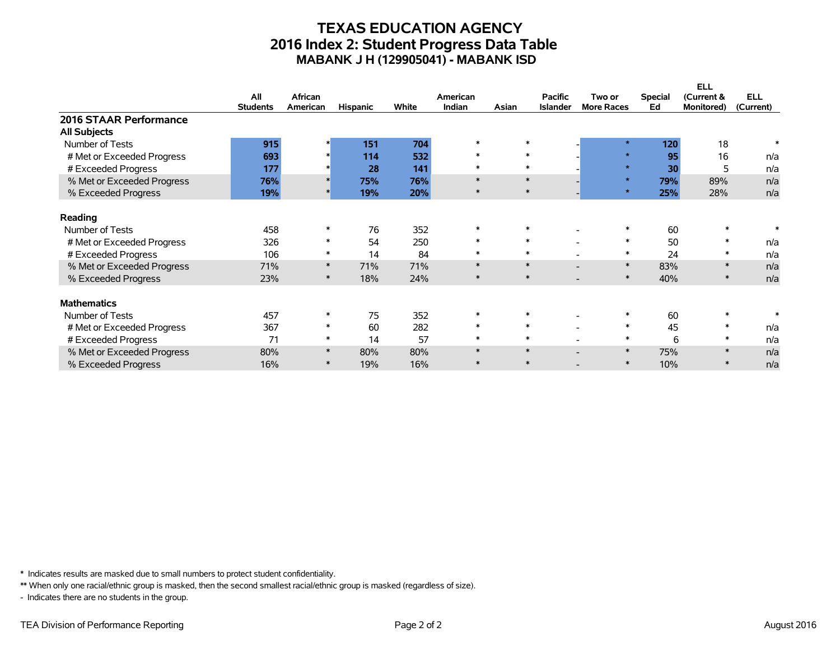## **TEXAS EDUCATION AGENCY 2016 Index 2: Student Progress Data Table MABANK J H (129905041) - MABANK ISD**

|                            |                 |          |                 |       |          |        |                 |                   |                | <b>ELL</b> |            |
|----------------------------|-----------------|----------|-----------------|-------|----------|--------|-----------------|-------------------|----------------|------------|------------|
|                            | All             | African  |                 |       | American |        | <b>Pacific</b>  | Two or            | <b>Special</b> | (Current & | <b>ELL</b> |
|                            | <b>Students</b> | American | <b>Hispanic</b> | White | Indian   | Asian  | <b>Islander</b> | <b>More Races</b> | Ed             | Monitored) | (Current)  |
| 2016 STAAR Performance     |                 |          |                 |       |          |        |                 |                   |                |            |            |
| <b>All Subjects</b>        |                 |          |                 |       |          |        |                 |                   |                |            |            |
| Number of Tests            | 915             |          | 151             | 704   | $\ast$   | $\ast$ |                 | $\star$           | 120            | 18         | $\ast$     |
| # Met or Exceeded Progress | 693             |          | 114             | 532   | $\ast$   | $\ast$ |                 | $\star$           | 95             | 16         | n/a        |
| # Exceeded Progress        | 177             |          | 28              | 141   | $\ast$   | $\ast$ |                 | $\star$           | 30             | 5          | n/a        |
| % Met or Exceeded Progress | 76%             |          | 75%             | 76%   | $\ast$   | $\ast$ |                 | $\star$           | 79%            | 89%        | n/a        |
| % Exceeded Progress        | 19%             |          | 19%             | 20%   | $\ast$   | $\ast$ |                 | $\star$           | 25%            | 28%        | n/a        |
| Reading                    |                 |          |                 |       |          |        |                 |                   |                |            |            |
| Number of Tests            | 458             |          | 76              | 352   | $\ast$   | $\ast$ |                 |                   | 60             | $\ast$     |            |
| # Met or Exceeded Progress | 326             | $\ast$   | 54              | 250   | $\ast$   | $\ast$ |                 | $\ast$            | 50             | $\ast$     | n/a        |
| # Exceeded Progress        | 106             | $\ast$   | 14              | 84    | $\ast$   | $\ast$ |                 | $\ast$            | 24             | ∗          | n/a        |
| % Met or Exceeded Progress | 71%             | $\ast$   | 71%             | 71%   | $\ast$   | $\ast$ |                 | $\ast$            | 83%            | $\ast$     | n/a        |
| % Exceeded Progress        | 23%             | $\ast$   | 18%             | 24%   | $\ast$   | $\ast$ |                 | $\ast$            | 40%            | $\ast$     | n/a        |
|                            |                 |          |                 |       |          |        |                 |                   |                |            |            |
| <b>Mathematics</b>         |                 |          |                 |       |          |        |                 |                   |                |            |            |
| Number of Tests            | 457             |          | 75              | 352   | $\ast$   |        |                 |                   | 60             |            |            |
| # Met or Exceeded Progress | 367             | $\ast$   | 60              | 282   | $\ast$   | $\ast$ |                 | $\ast$            | 45             | $\ast$     | n/a        |
| # Exceeded Progress        | 71              | $\ast$   | 14              | 57    | $\ast$   | $\ast$ |                 | $\ast$            | 6              | $\ast$     | n/a        |
| % Met or Exceeded Progress | 80%             | $\ast$   | 80%             | 80%   | $\ast$   | $\ast$ |                 | $\ast$            | 75%            | $\ast$     | n/a        |
| % Exceeded Progress        | 16%             | $\ast$   | 19%             | 16%   | $\ast$   | $\ast$ |                 | $\ast$            | 10%            |            | n/a        |
|                            |                 |          |                 |       |          |        |                 |                   |                |            |            |

\* Indicates results are masked due to small numbers to protect student confidentiality.

\*\* When only one racial/ethnic group is masked, then the second smallest racial/ethnic group is masked (regardless of size).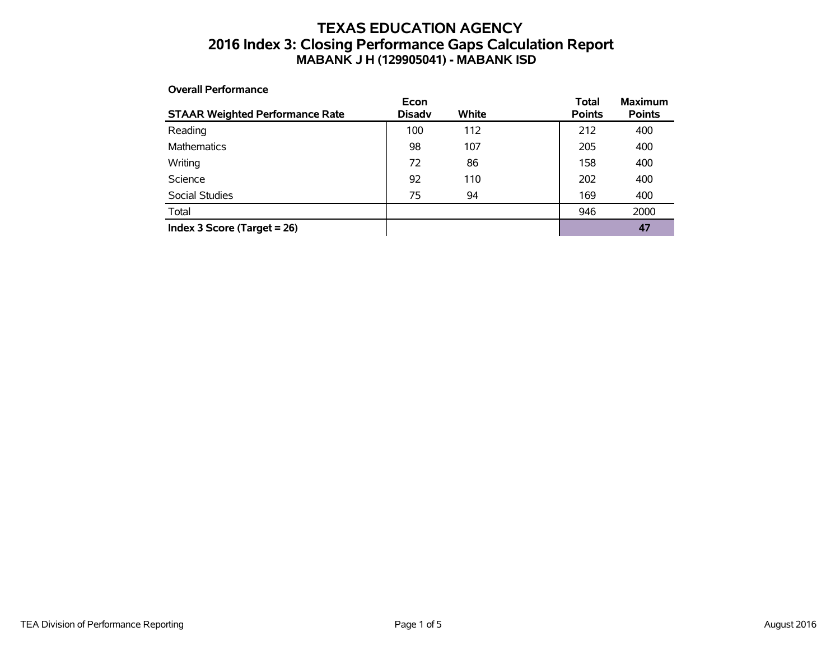## **TEXAS EDUCATION AGENCY 2016 Index 3: Closing Performance Gaps Calculation Report MABANK J H (129905041) - MABANK ISD**

#### **Overall Performance**

| <b>STAAR Weighted Performance Rate</b> | Econ<br><b>Disadv</b> | White | <b>Total</b><br><b>Points</b> | <b>Maximum</b><br><b>Points</b> |
|----------------------------------------|-----------------------|-------|-------------------------------|---------------------------------|
| Reading                                | 100                   | 112   | 212                           | 400                             |
| <b>Mathematics</b>                     | 98                    | 107   | 205                           | 400                             |
| Writing                                | 72                    | 86    | 158                           | 400                             |
| Science                                | 92                    | 110   | 202                           | 400                             |
| Social Studies                         | 75                    | 94    | 169                           | 400                             |
| Total                                  |                       |       | 946                           | 2000                            |
| Index 3 Score (Target $= 26$ )         |                       |       |                               | 47                              |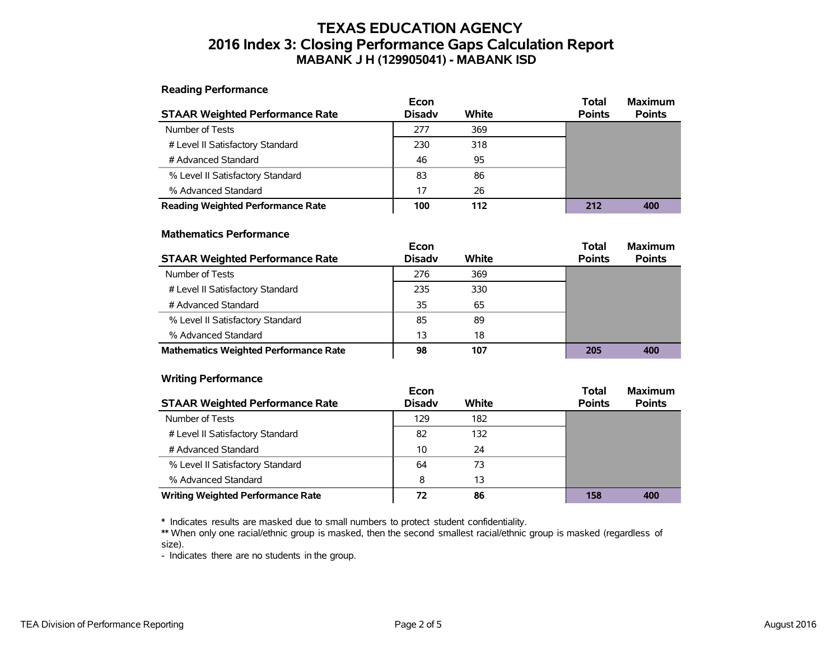## **TEXAS EDUCATION AGENCY 2016 Index 3: Closing Performance Gaps Calculation Report MABANK J H (129905041) - MABANK ISD**

**Reading Performance**

|                                          | Econ          |       | Total         | <b>Maximum</b> |
|------------------------------------------|---------------|-------|---------------|----------------|
| <b>STAAR Weighted Performance Rate</b>   | <b>Disadv</b> | White | <b>Points</b> | <b>Points</b>  |
| Number of Tests                          | 277           | 369   |               |                |
| # Level II Satisfactory Standard         | 230           | 318   |               |                |
| # Advanced Standard                      | 46            | 95    |               |                |
| % Level II Satisfactory Standard         | 83            | 86    |               |                |
| % Advanced Standard                      | 17            | 26    |               |                |
| <b>Reading Weighted Performance Rate</b> | 100           | 112   | 212           | 400            |

#### **Mathematics Performance**

|                                              | Econ          |       | <b>Total</b>  | <b>Maximum</b> |
|----------------------------------------------|---------------|-------|---------------|----------------|
| <b>STAAR Weighted Performance Rate</b>       | <b>Disadv</b> | White | <b>Points</b> | <b>Points</b>  |
| Number of Tests                              | 276           | 369   |               |                |
| # Level II Satisfactory Standard             | 235           | 330   |               |                |
| # Advanced Standard                          | 35            | 65    |               |                |
| % Level II Satisfactory Standard             | 85            | 89    |               |                |
| % Advanced Standard                          | 13            | 18    |               |                |
| <b>Mathematics Weighted Performance Rate</b> | 98            | 107   | 205           | 400            |

#### **Writing Performance**

|                                          | Econ          |       | <b>Total</b>  | <b>Maximum</b> |
|------------------------------------------|---------------|-------|---------------|----------------|
| <b>STAAR Weighted Performance Rate</b>   | <b>Disady</b> | White | <b>Points</b> | <b>Points</b>  |
| Number of Tests                          | 129           | 182   |               |                |
| # Level II Satisfactory Standard         | 82            | 132   |               |                |
| # Advanced Standard                      | 10            | 24    |               |                |
| % Level II Satisfactory Standard         | 64            | 73    |               |                |
| % Advanced Standard                      | 8             | 13    |               |                |
| <b>Writing Weighted Performance Rate</b> | 72            | 86    | 158           | 400            |

\* Indicates results are masked due to small numbers to protect student confidentiality.

\*\* When only one racial/ethnic group is masked, then the second smallest racial/ethnic group is masked (regardless of size).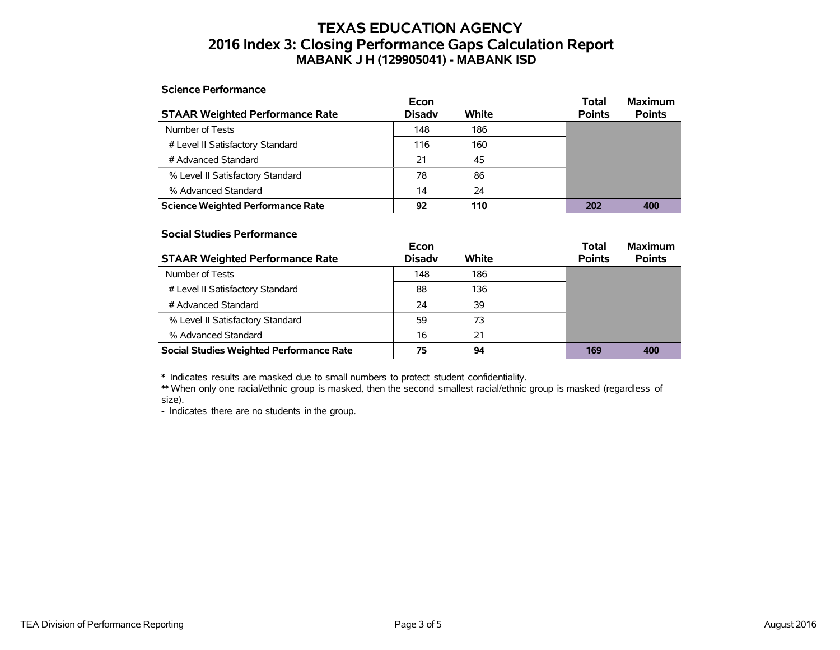## **TEXAS EDUCATION AGENCY 2016 Index 3: Closing Performance Gaps Calculation Report MABANK J H (129905041) - MABANK ISD**

#### **Science Performance**

|                                          | Econ          |       | Total         | <b>Maximum</b> |
|------------------------------------------|---------------|-------|---------------|----------------|
| <b>STAAR Weighted Performance Rate</b>   | <b>Disadv</b> | White | <b>Points</b> | <b>Points</b>  |
| Number of Tests                          | 148           | 186   |               |                |
| # Level II Satisfactory Standard         | 116           | 160   |               |                |
| # Advanced Standard                      | 21            | 45    |               |                |
| % Level II Satisfactory Standard         | 78            | 86    |               |                |
| % Advanced Standard                      | 14            | 24    |               |                |
| <b>Science Weighted Performance Rate</b> | 92            | 110   | 202           | 400            |

#### **Social Studies Performance**

|                                                 | Econ          |       | <b>Total</b>  | <b>Maximum</b> |
|-------------------------------------------------|---------------|-------|---------------|----------------|
| <b>STAAR Weighted Performance Rate</b>          | <b>Disadv</b> | White | <b>Points</b> | <b>Points</b>  |
| Number of Tests                                 | 148           | 186   |               |                |
| # Level II Satisfactory Standard                | 88            | 136   |               |                |
| # Advanced Standard                             | 24            | 39    |               |                |
| % Level II Satisfactory Standard                | 59            | 73    |               |                |
| % Advanced Standard                             | 16            | 21    |               |                |
| <b>Social Studies Weighted Performance Rate</b> | 75            | 94    | 169           | 400            |

\* Indicates results are masked due to small numbers to protect student confidentiality.

\*\* When only one racial/ethnic group is masked, then the second smallest racial/ethnic group is masked (regardless of size).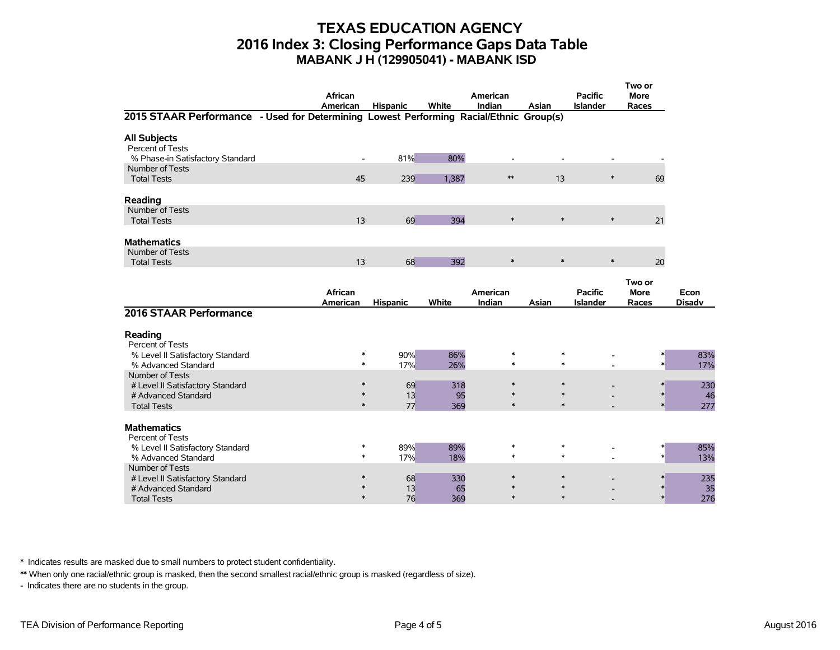## **TEXAS EDUCATION AGENCY 2016 Index 3: Closing Performance Gaps Data Table MABANK J H (129905041) - MABANK ISD**

|                                                                                        | <b>African</b><br>American | <b>Hispanic</b>                        | White      | American<br>Indian         | Asian                      | <b>Pacific</b><br><b>Islander</b> | Two or<br><b>More</b><br>Races |                       |
|----------------------------------------------------------------------------------------|----------------------------|----------------------------------------|------------|----------------------------|----------------------------|-----------------------------------|--------------------------------|-----------------------|
| 2015 STAAR Performance - Used for Determining Lowest Performing Racial/Ethnic Group(s) |                            |                                        |            |                            |                            |                                   |                                |                       |
| <b>All Subjects</b><br>Percent of Tests<br>% Phase-in Satisfactory Standard            | $\overline{\phantom{a}}$   | 81%                                    | 80%        |                            |                            |                                   |                                |                       |
| Number of Tests<br><b>Total Tests</b>                                                  | 45                         | 239                                    | 1.387      | $**$                       | 13                         | $\ast$                            | 69                             |                       |
| Reading                                                                                |                            |                                        |            |                            |                            |                                   |                                |                       |
| Number of Tests<br><b>Total Tests</b>                                                  | 13                         | 69                                     | 394        | $\ast$                     | $\ast$                     | $\ast$                            | 21                             |                       |
| <b>Mathematics</b>                                                                     |                            |                                        |            |                            |                            |                                   |                                |                       |
| Number of Tests<br><b>Total Tests</b>                                                  | 13                         | 68                                     | 392        | $\ast$                     | $\ast$                     | $\ast$                            | 20                             |                       |
|                                                                                        | African<br>American        | <b>Hispanic</b>                        | White      | American<br>Indian         | Asian                      | <b>Pacific</b><br><b>Islander</b> | Two or<br><b>More</b><br>Races | Econ<br><b>Disadv</b> |
| 2016 STAAR Performance                                                                 |                            |                                        |            |                            |                            |                                   |                                |                       |
| Reading<br>Percent of Tests                                                            |                            |                                        |            |                            |                            |                                   |                                |                       |
| % Level II Satisfactory Standard<br>% Advanced Standard                                |                            | 90%<br>*<br>$\ast$<br>17%              | 86%<br>26% | $\ast$<br>$\ast$           | $\ast$<br>$\ast$           |                                   |                                | 83%<br>17%            |
| Number of Tests<br># Level II Satisfactory Standard<br># Advanced Standard             |                            | 69<br>$\ast$<br>13<br>$\ast$<br>$\ast$ | 318<br>95  | $\ast$<br>$\ast$<br>$\ast$ | $\ast$<br>$\ast$<br>$\ast$ |                                   |                                | 230<br>46             |
| <b>Total Tests</b><br><b>Mathematics</b>                                               |                            | 77                                     | 369        |                            |                            |                                   |                                | 277                   |
| Percent of Tests<br>% Level II Satisfactory Standard<br>% Advanced Standard            |                            | 89%<br>$\ast$<br>17%<br>$\ast$         | 89%<br>18% | $\ast$<br>$\ast$           | $\ast$<br>$\ast$           |                                   |                                | 85%<br>13%            |
| Number of Tests<br># Level II Satisfactory Standard<br># Advanced Standard             |                            | 68<br>13                               | 330<br>65  | $\ast$                     | $\ast$                     |                                   |                                | 235<br>35             |
| <b>Total Tests</b>                                                                     |                            | $\ast$<br>76                           | 369        | $\ast$                     | $\ast$                     |                                   |                                | 276                   |

\* Indicates results are masked due to small numbers to protect student confidentiality.

\*\* When only one racial/ethnic group is masked, then the second smallest racial/ethnic group is masked (regardless of size).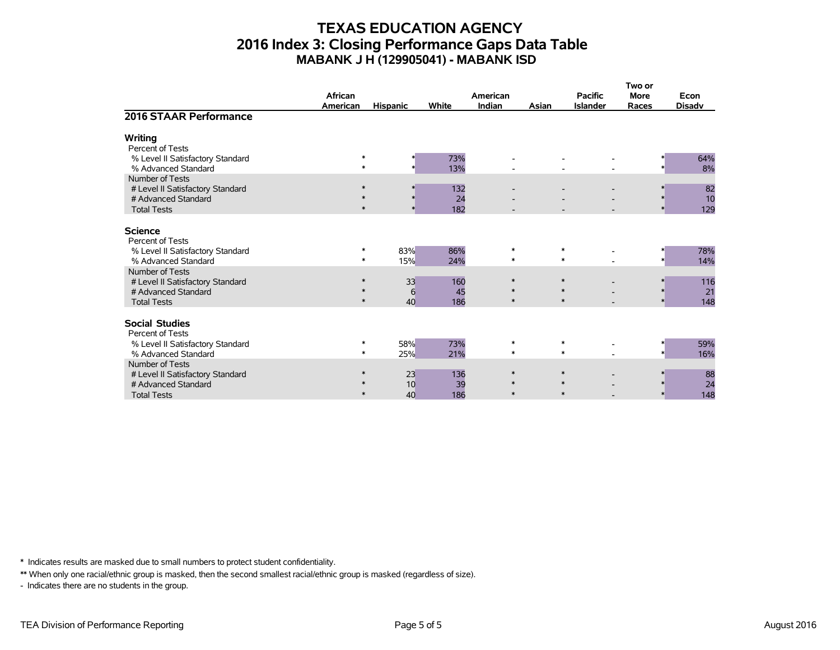## **TEXAS EDUCATION AGENCY 2016 Index 3: Closing Performance Gaps Data Table MABANK J H (129905041) - MABANK ISD**

|                                                                                                  | African<br>American        | <b>Hispanic</b> | White            | American<br>Indian         | Asian | <b>Pacific</b><br><b>Islander</b> | Two or<br><b>More</b><br>Races | Econ<br><b>Disadv</b> |
|--------------------------------------------------------------------------------------------------|----------------------------|-----------------|------------------|----------------------------|-------|-----------------------------------|--------------------------------|-----------------------|
| 2016 STAAR Performance                                                                           |                            |                 |                  |                            |       |                                   |                                |                       |
| <b>Writing</b><br>Percent of Tests                                                               |                            |                 |                  |                            |       |                                   |                                |                       |
| % Level II Satisfactory Standard<br>% Advanced Standard                                          | $\ast$<br>$\ast$           |                 | 73%<br>13%       |                            |       |                                   |                                | 64%<br>8%             |
| Number of Tests<br># Level II Satisfactory Standard<br># Advanced Standard<br><b>Total Tests</b> | $\ast$<br>$\ast$           | $\ast$          | 132<br>24<br>182 |                            |       |                                   |                                | 82<br>10<br>129       |
| <b>Science</b><br>Percent of Tests                                                               |                            |                 |                  |                            |       |                                   |                                |                       |
| % Level II Satisfactory Standard<br>% Advanced Standard                                          | ∗<br>$\ast$                | 83%<br>15%      | 86%<br>24%       | $\ast$<br>$\ast$           |       | $\ast$<br>$\ast$                  |                                | 78%<br>14%            |
| Number of Tests<br># Level II Satisfactory Standard<br># Advanced Standard<br><b>Total Tests</b> | $\ast$<br>$\ast$<br>$\ast$ | 33<br>6<br>40   | 160<br>45<br>186 | $\ast$<br>$\ast$<br>$\ast$ |       | $\ast$<br>$\ast$<br>$\ast$        | $\star$                        | 116<br>21<br>148      |
| <b>Social Studies</b><br>Percent of Tests                                                        |                            |                 |                  |                            |       |                                   |                                |                       |
| % Level II Satisfactory Standard<br>% Advanced Standard                                          | ∗<br>$\ast$                | 58%<br>25%      | 73%<br>21%       | $\ast$<br>$\ast$           |       | $\ast$<br>$\ast$                  |                                | 59%<br>16%            |
| Number of Tests<br># Level II Satisfactory Standard<br># Advanced Standard<br><b>Total Tests</b> | ∗<br>$\ast$<br>$\ast$      | 23<br>10<br>40  | 136<br>39<br>186 | $\ast$<br>$\ast$<br>$\ast$ |       | $\ast$<br>$\ast$<br>$\ast$        |                                | 88<br>24<br>148       |

\* Indicates results are masked due to small numbers to protect student confidentiality.

\*\* When only one racial/ethnic group is masked, then the second smallest racial/ethnic group is masked (regardless of size).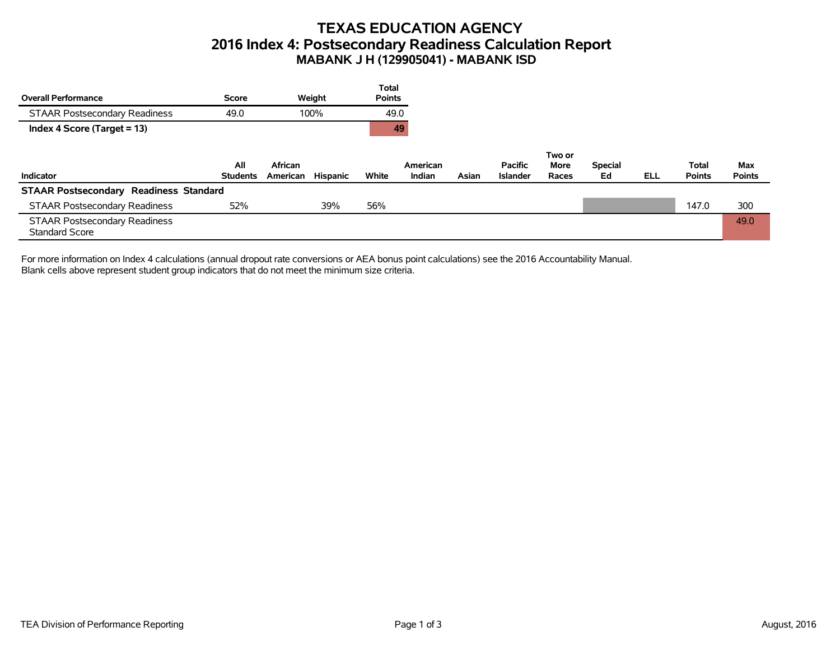# **TEXAS EDUCATION AGENCY 2016 Index 4: Postsecondary Readiness Calculation Report MABANK J H (129905041) - MABANK ISD**

|                                                               |                 |          |          | <b>Total</b>  |          |       |                 |                |                |            |               |               |
|---------------------------------------------------------------|-----------------|----------|----------|---------------|----------|-------|-----------------|----------------|----------------|------------|---------------|---------------|
| <b>Overall Performance</b>                                    | Score           |          | Weight   | <b>Points</b> |          |       |                 |                |                |            |               |               |
| <b>STAAR Postsecondary Readiness</b>                          | 49.0            |          | 100%     | 49.0          |          |       |                 |                |                |            |               |               |
| Index 4 Score (Target = 13)                                   |                 |          |          |               | 49       |       |                 |                |                |            |               |               |
|                                                               | All             | African  |          |               | American |       | <b>Pacific</b>  | Two or<br>More | <b>Special</b> |            | Total         | Max           |
| Indicator                                                     | <b>Students</b> | American | Hispanic | White         | Indian   | Asian | <b>Islander</b> | Races          | Ed             | <b>ELL</b> | <b>Points</b> | <b>Points</b> |
| <b>STAAR Postsecondary Readiness Standard</b>                 |                 |          |          |               |          |       |                 |                |                |            |               |               |
| <b>STAAR Postsecondary Readiness</b>                          | 52%             |          | 39%      | 56%           |          |       |                 |                |                |            | 147.0         | 300           |
| <b>STAAR Postsecondary Readiness</b><br><b>Standard Score</b> |                 |          |          |               |          |       |                 |                |                |            |               | 49.0          |

For more information on Index 4 calculations (annual dropout rate conversions or AEA bonus point calculations) see the 2016 Accountability Manual. Blank cells above represent student group indicators that do not meet the minimum size criteria.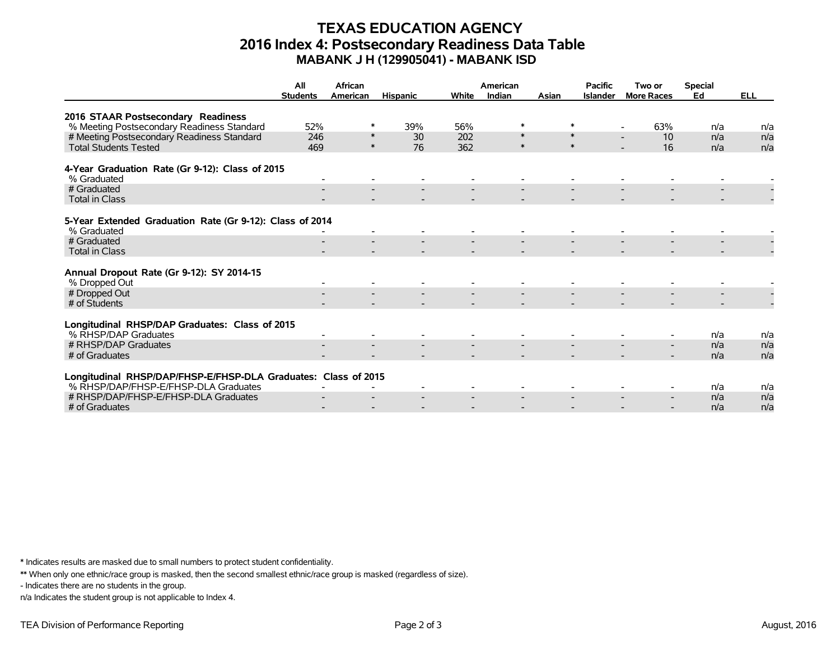## **TEXAS EDUCATION AGENCY 2016 Index 4: Postsecondary Readiness Data Table MABANK J H (129905041) - MABANK ISD**

|                                                                | All<br><b>Students</b> | African<br>American | <b>Hispanic</b> | White | American<br>Indian | Asian  | <b>Pacific</b><br><b>Islander</b> | Two or<br><b>More Races</b> | <b>Special</b><br>Ed | <b>ELL</b> |
|----------------------------------------------------------------|------------------------|---------------------|-----------------|-------|--------------------|--------|-----------------------------------|-----------------------------|----------------------|------------|
|                                                                |                        |                     |                 |       |                    |        |                                   |                             |                      |            |
| 2016 STAAR Postsecondary Readiness                             |                        |                     |                 |       |                    |        |                                   |                             |                      |            |
| % Meeting Postsecondary Readiness Standard                     | 52%                    | ∗                   | 39%             | 56%   | *                  | $\ast$ |                                   | 63%                         | n/a                  | n/a        |
| # Meeting Postsecondary Readiness Standard                     | 246                    | $\ast$              | 30              | 202   | $\ast$             | $\ast$ |                                   | 10                          | n/a                  | n/a        |
| <b>Total Students Tested</b>                                   | 469                    | $\ast$              | 76              | 362   | $\ast$             | $\ast$ |                                   | 16                          | n/a                  | n/a        |
| 4-Year Graduation Rate (Gr 9-12): Class of 2015                |                        |                     |                 |       |                    |        |                                   |                             |                      |            |
| % Graduated                                                    |                        |                     |                 |       |                    |        |                                   |                             |                      |            |
| # Graduated                                                    |                        |                     |                 |       |                    |        |                                   |                             |                      |            |
| <b>Total in Class</b>                                          |                        |                     |                 |       |                    |        |                                   |                             |                      |            |
|                                                                |                        |                     |                 |       |                    |        |                                   |                             |                      |            |
| 5-Year Extended Graduation Rate (Gr 9-12): Class of 2014       |                        |                     |                 |       |                    |        |                                   |                             |                      |            |
| % Graduated                                                    |                        |                     |                 |       |                    |        |                                   |                             |                      |            |
| # Graduated                                                    |                        |                     |                 |       |                    |        |                                   |                             |                      |            |
| <b>Total in Class</b>                                          |                        |                     |                 |       |                    |        |                                   |                             |                      |            |
| Annual Dropout Rate (Gr 9-12): SY 2014-15                      |                        |                     |                 |       |                    |        |                                   |                             |                      |            |
| % Dropped Out                                                  |                        |                     |                 |       |                    |        |                                   |                             |                      |            |
| # Dropped Out                                                  |                        |                     |                 |       |                    |        |                                   |                             |                      |            |
| # of Students                                                  |                        |                     |                 |       |                    |        |                                   |                             |                      |            |
|                                                                |                        |                     |                 |       |                    |        |                                   |                             |                      |            |
| Longitudinal RHSP/DAP Graduates: Class of 2015                 |                        |                     |                 |       |                    |        |                                   |                             |                      |            |
| % RHSP/DAP Graduates                                           |                        |                     |                 |       |                    |        |                                   |                             | n/a                  | n/a        |
| # RHSP/DAP Graduates                                           |                        |                     |                 |       |                    |        |                                   |                             | n/a                  | n/a        |
| # of Graduates                                                 |                        |                     |                 |       |                    |        |                                   | $\overline{\phantom{a}}$    | n/a                  | n/a        |
|                                                                |                        |                     |                 |       |                    |        |                                   |                             |                      |            |
| Longitudinal RHSP/DAP/FHSP-E/FHSP-DLA Graduates: Class of 2015 |                        |                     |                 |       |                    |        |                                   |                             |                      |            |
| % RHSP/DAP/FHSP-E/FHSP-DLA Graduates                           |                        |                     |                 |       |                    |        |                                   |                             | n/a                  | n/a        |
| # RHSP/DAP/FHSP-E/FHSP-DLA Graduates                           |                        |                     |                 |       |                    |        |                                   | $\overline{\phantom{a}}$    | n/a                  | n/a        |
| # of Graduates                                                 |                        |                     |                 |       |                    |        |                                   |                             | n/a                  | n/a        |

\* Indicates results are masked due to small numbers to protect student confidentiality.

\*\* When only one ethnic/race group is masked, then the second smallest ethnic/race group is masked (regardless of size).

- Indicates there are no students in the group.

n/a Indicates the student group is not applicable to Index 4.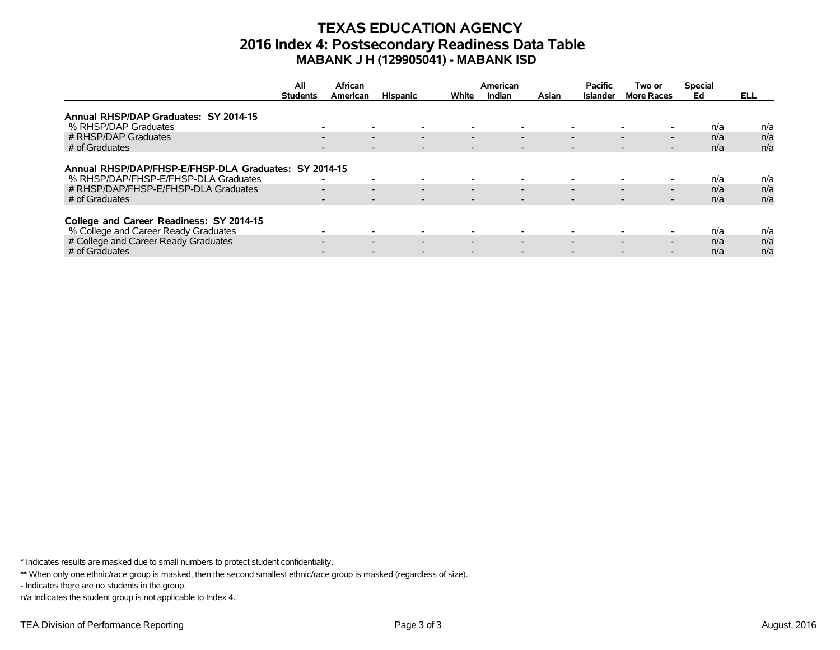## **TEXAS EDUCATION AGENCY 2016 Index 4: Postsecondary Readiness Data Table MABANK J H (129905041) - MABANK ISD**

|                                                       | All             | African                                              |                          |                          | American                 |                          | <b>Pacific</b>           | Two or                                               | <b>Special</b> |      |
|-------------------------------------------------------|-----------------|------------------------------------------------------|--------------------------|--------------------------|--------------------------|--------------------------|--------------------------|------------------------------------------------------|----------------|------|
|                                                       | <b>Students</b> | American                                             | <b>Hispanic</b>          | White                    | Indian                   | Asian                    | <b>Islander</b>          | <b>More Races</b>                                    | Ed             | ELL. |
|                                                       |                 |                                                      |                          |                          |                          |                          |                          |                                                      |                |      |
| Annual RHSP/DAP Graduates: SY 2014-15                 |                 |                                                      |                          |                          |                          |                          |                          |                                                      |                |      |
| % RHSP/DAP Graduates                                  |                 | $\overline{\phantom{a}}$                             |                          |                          | $\overline{\phantom{0}}$ |                          | $\overline{\phantom{0}}$ |                                                      | n/a            | n/a  |
| # RHSP/DAP Graduates                                  |                 | $\overline{\phantom{0}}$<br>$\overline{\phantom{0}}$ | $\overline{\phantom{0}}$ | $\overline{\phantom{0}}$ | $\overline{\phantom{0}}$ |                          | $\overline{\phantom{0}}$ | $\overline{\phantom{0}}$<br>$\overline{\phantom{0}}$ | n/a            | n/a  |
| # of Graduates                                        |                 | $\overline{\phantom{a}}$                             |                          |                          | $\overline{\phantom{a}}$ | $\overline{\phantom{a}}$ |                          | $\overline{\phantom{a}}$                             | n/a            | n/a  |
|                                                       |                 |                                                      |                          |                          |                          |                          |                          |                                                      |                |      |
| Annual RHSP/DAP/FHSP-E/FHSP-DLA Graduates: SY 2014-15 |                 |                                                      |                          |                          |                          |                          |                          |                                                      |                |      |
| % RHSP/DAP/FHSP-E/FHSP-DLA Graduates                  |                 | $\overline{\phantom{a}}$<br>$\overline{\phantom{0}}$ |                          |                          | $\overline{\phantom{0}}$ |                          | $\overline{\phantom{0}}$ |                                                      | n/a            | n/a  |
| # RHSP/DAP/FHSP-E/FHSP-DLA Graduates                  |                 | $\overline{\phantom{0}}$<br>$\overline{\phantom{0}}$ | $\overline{\phantom{0}}$ | $\overline{\phantom{0}}$ | $\overline{\phantom{0}}$ |                          | $\overline{\phantom{0}}$ | $\overline{\phantom{0}}$<br>$\overline{\phantom{0}}$ | n/a            | n/a  |
| # of Graduates                                        |                 | $\overline{\phantom{a}}$<br>$\overline{\phantom{0}}$ |                          | $\overline{\phantom{0}}$ | $\overline{\phantom{0}}$ |                          | $\overline{\phantom{0}}$ | $\overline{\phantom{0}}$<br>-                        | n/a            | n/a  |
|                                                       |                 |                                                      |                          |                          |                          |                          |                          |                                                      |                |      |
| College and Career Readiness: SY 2014-15              |                 |                                                      |                          |                          |                          |                          |                          |                                                      |                |      |
| % College and Career Ready Graduates                  |                 | $\overline{\phantom{0}}$                             |                          |                          | $\overline{\phantom{0}}$ |                          | $\overline{\phantom{0}}$ |                                                      | n/a            | n/a  |
| # College and Career Ready Graduates                  |                 | $\overline{\phantom{0}}$<br>$\overline{\phantom{0}}$ | $\overline{\phantom{0}}$ | $\overline{\phantom{0}}$ | $\overline{\phantom{0}}$ |                          | $\overline{\phantom{0}}$ | $\overline{\phantom{0}}$<br>$\overline{\phantom{0}}$ | n/a            | n/a  |
| # of Graduates                                        |                 |                                                      |                          |                          |                          |                          |                          |                                                      | n/a            | n/a  |

\* Indicates results are masked due to small numbers to protect student confidentiality.

\*\* When only one ethnic/race group is masked, then the second smallest ethnic/race group is masked (regardless of size).

- Indicates there are no students in the group.

n/a Indicates the student group is not applicable to Index 4.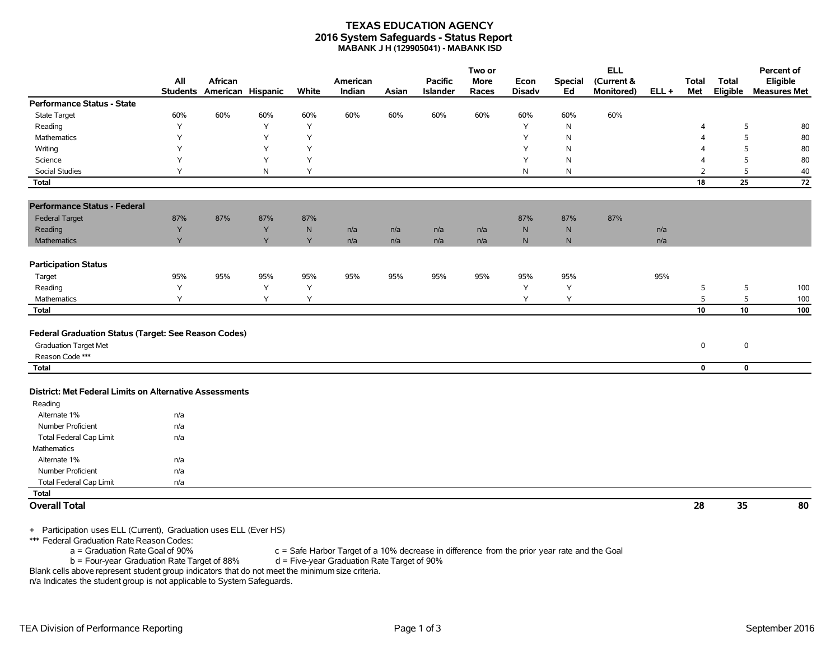#### **TEXAS EDUCATION AGENCY 2016 System Safeguards - Status Report MABANK J H (129905041) - MABANK ISD**

|                                                                                      |                        |                              |     |           |                    |       |                                   | Two or               |                       |                      | <b>ELL</b>               |         |                          |                          | Percent of                      |
|--------------------------------------------------------------------------------------|------------------------|------------------------------|-----|-----------|--------------------|-------|-----------------------------------|----------------------|-----------------------|----------------------|--------------------------|---------|--------------------------|--------------------------|---------------------------------|
|                                                                                      | All<br><b>Students</b> | African<br>American Hispanic |     | White     | American<br>Indian | Asian | <b>Pacific</b><br><b>Islander</b> | <b>More</b><br>Races | Econ<br><b>Disadv</b> | <b>Special</b><br>Ed | (Current &<br>Monitored) | $ELL +$ | <b>Total</b><br>Met      | <b>Total</b><br>Eligible | Eligible<br><b>Measures Met</b> |
| <b>Performance Status - State</b>                                                    |                        |                              |     |           |                    |       |                                   |                      |                       |                      |                          |         |                          |                          |                                 |
| <b>State Target</b>                                                                  | 60%                    | 60%                          | 60% | 60%       | 60%                | 60%   | 60%                               | 60%                  | 60%                   | 60%                  | 60%                      |         |                          |                          |                                 |
| Reading                                                                              | Y                      |                              | Y   | Υ         |                    |       |                                   |                      | Y                     | N                    |                          |         | $\overline{4}$           | 5                        | 80                              |
| Mathematics                                                                          | Υ                      |                              | Y   | Υ         |                    |       |                                   |                      | Y                     | N                    |                          |         | $\Delta$                 | 5                        | 80                              |
| Writing                                                                              | Y                      |                              | Y   | Y         |                    |       |                                   |                      | Υ                     | N                    |                          |         | $\boldsymbol{\varDelta}$ | 5                        | 80                              |
| Science                                                                              | Y                      |                              | Y   | Y         |                    |       |                                   |                      | Y                     | ${\sf N}$            |                          |         | $\overline{4}$           | 5                        | 80                              |
| <b>Social Studies</b>                                                                | Y                      |                              | N   | Y         |                    |       |                                   |                      | N                     | N                    |                          |         | $\overline{2}$           | 5                        | 40                              |
| <b>Total</b>                                                                         |                        |                              |     |           |                    |       |                                   |                      |                       |                      |                          |         | 18                       | 25                       | 72                              |
| <b>Performance Status - Federal</b>                                                  |                        |                              |     |           |                    |       |                                   |                      |                       |                      |                          |         |                          |                          |                                 |
| <b>Federal Target</b>                                                                | 87%                    | 87%                          | 87% | 87%       |                    |       |                                   |                      | 87%                   | 87%                  | 87%                      |         |                          |                          |                                 |
| Reading                                                                              | Y                      |                              | Y   | ${\sf N}$ | n/a                | n/a   | n/a                               | n/a                  | ${\sf N}$             | N                    |                          | n/a     |                          |                          |                                 |
| Mathematics                                                                          | Y                      |                              | Y   | Y         | n/a                | n/a   | n/a                               | n/a                  | $\mathsf{N}$          | $\mathsf{N}$         |                          | n/a     |                          |                          |                                 |
| <b>Participation Status</b>                                                          |                        |                              |     |           |                    |       |                                   |                      |                       |                      |                          |         |                          |                          |                                 |
| Target                                                                               | 95%                    | 95%                          | 95% | 95%       | 95%                | 95%   | 95%                               | 95%                  | 95%                   | 95%                  |                          | 95%     |                          |                          |                                 |
| Reading                                                                              | Y                      |                              | Y   | Υ         |                    |       |                                   |                      | Υ                     | Υ                    |                          |         | 5                        | 5                        | 100                             |
| Mathematics                                                                          | Y                      |                              | Y   | Y         |                    |       |                                   |                      | Y                     | Y                    |                          |         | 5                        | 5                        | 100                             |
| <b>Total</b>                                                                         |                        |                              |     |           |                    |       |                                   |                      |                       |                      |                          |         | 10                       | 10                       | 100                             |
| Federal Graduation Status (Target: See Reason Codes)<br><b>Graduation Target Met</b> |                        |                              |     |           |                    |       |                                   |                      |                       |                      |                          |         | $\pmb{0}$                | $\mathsf 0$              |                                 |
| Reason Code ***                                                                      |                        |                              |     |           |                    |       |                                   |                      |                       |                      |                          |         |                          |                          |                                 |
| <b>Total</b>                                                                         |                        |                              |     |           |                    |       |                                   |                      |                       |                      |                          |         | $\mathbf 0$              | $\mathbf 0$              |                                 |
| District: Met Federal Limits on Alternative Assessments                              |                        |                              |     |           |                    |       |                                   |                      |                       |                      |                          |         |                          |                          |                                 |
| Reading                                                                              |                        |                              |     |           |                    |       |                                   |                      |                       |                      |                          |         |                          |                          |                                 |
| Alternate 1%                                                                         | n/a                    |                              |     |           |                    |       |                                   |                      |                       |                      |                          |         |                          |                          |                                 |
| Number Proficient                                                                    | n/a                    |                              |     |           |                    |       |                                   |                      |                       |                      |                          |         |                          |                          |                                 |
| <b>Total Federal Cap Limit</b>                                                       | n/a                    |                              |     |           |                    |       |                                   |                      |                       |                      |                          |         |                          |                          |                                 |
| Mathematics                                                                          |                        |                              |     |           |                    |       |                                   |                      |                       |                      |                          |         |                          |                          |                                 |
| Alternate 1%                                                                         | n/a                    |                              |     |           |                    |       |                                   |                      |                       |                      |                          |         |                          |                          |                                 |
| Number Proficient                                                                    | n/a                    |                              |     |           |                    |       |                                   |                      |                       |                      |                          |         |                          |                          |                                 |
| <b>Total Federal Cap Limit</b>                                                       | n/a                    |                              |     |           |                    |       |                                   |                      |                       |                      |                          |         |                          |                          |                                 |
| <b>Total</b>                                                                         |                        |                              |     |           |                    |       |                                   |                      |                       |                      |                          |         |                          |                          |                                 |
| <b>Overall Total</b>                                                                 |                        |                              |     |           |                    |       |                                   |                      |                       |                      |                          |         | 28                       | 35                       | 80                              |

+ Participation uses ELL (Current), Graduation uses ELL (Ever HS)

\*\*\* Federal Graduation Rate Reason Codes:

 $a =$  Graduation Rate Goal of 90% c = Safe Harbor Target of a 10% decrease in difference from the prior year rate and the Goal b = Four-year Graduation Rate Target of 90%  $b =$  Four-year Graduation Rate Target of 88%

Blank cells above represent student group indicators that do not meet the minimum size criteria.

n/a Indicates the student group is not applicable to System Safeguards.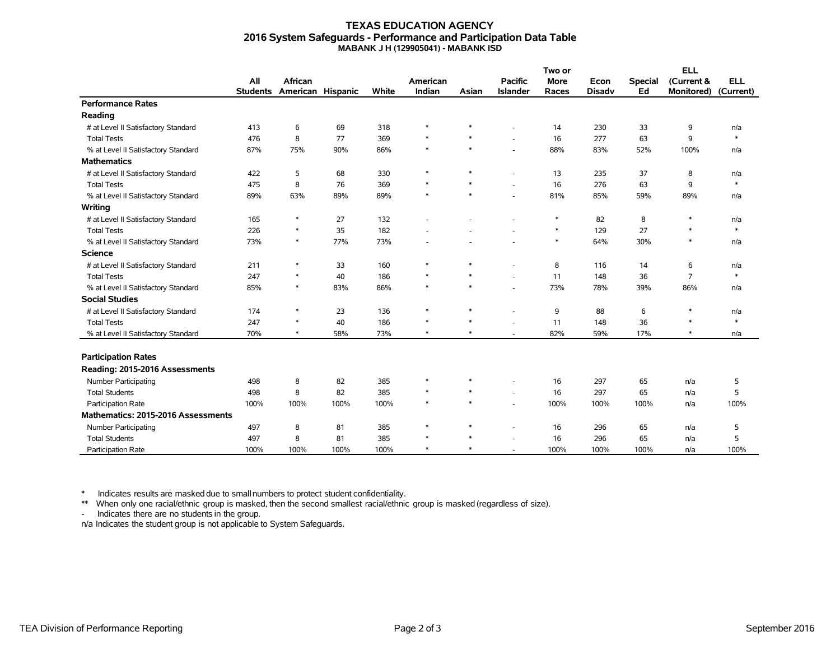#### **TEXAS EDUCATION AGENCY 2016 System Safeguards - Performance and Participation Data Table MABANK J H (129905041) - MABANK ISD**

|                                     |                 | African           |      |       |          |        |                          | Two or      |               |                | <b>ELL</b>        |            |
|-------------------------------------|-----------------|-------------------|------|-------|----------|--------|--------------------------|-------------|---------------|----------------|-------------------|------------|
|                                     | All             |                   |      |       | American |        | <b>Pacific</b>           | <b>More</b> | Econ          | <b>Special</b> | (Current &        | <b>ELL</b> |
|                                     | <b>Students</b> | American Hispanic |      | White | Indian   | Asian  | <b>Islander</b>          | Races       | <b>Disadv</b> | Ed             | <b>Monitored)</b> | (Current)  |
| <b>Performance Rates</b>            |                 |                   |      |       |          |        |                          |             |               |                |                   |            |
| Reading                             |                 |                   |      |       |          |        |                          |             |               |                |                   |            |
| # at Level II Satisfactory Standard | 413             | 6                 | 69   | 318   | $\ast$   | $\ast$ |                          | 14          | 230           | 33             | 9                 | n/a        |
| <b>Total Tests</b>                  | 476             | 8                 | 77   | 369   | $\ast$   | $\ast$ | ÷.                       | 16          | 277           | 63             | 9                 | $\ast$     |
| % at Level II Satisfactory Standard | 87%             | 75%               | 90%  | 86%   | $\ast$   | $\ast$ | ÷,                       | 88%         | 83%           | 52%            | 100%              | n/a        |
| <b>Mathematics</b>                  |                 |                   |      |       |          |        |                          |             |               |                |                   |            |
| # at Level II Satisfactory Standard | 422             | 5                 | 68   | 330   | $\ast$   | $\ast$ | ٠                        | 13          | 235           | 37             | 8                 | n/a        |
| <b>Total Tests</b>                  | 475             | 8                 | 76   | 369   | $\ast$   | $\ast$ | ÷,                       | 16          | 276           | 63             | 9                 | $\ast$     |
| % at Level II Satisfactory Standard | 89%             | 63%               | 89%  | 89%   | $\ast$   | $\ast$ |                          | 81%         | 85%           | 59%            | 89%               | n/a        |
| Writing                             |                 |                   |      |       |          |        |                          |             |               |                |                   |            |
| # at Level II Satisfactory Standard | 165             | $\ast$            | 27   | 132   |          |        |                          | $\ast$      | 82            | 8              | $\ast$            | n/a        |
| <b>Total Tests</b>                  | 226             | $\ast$            | 35   | 182   |          |        |                          | $\ast$      | 129           | 27             | $\ast$            | $\ast$     |
| % at Level II Satisfactory Standard | 73%             | $\ast$            | 77%  | 73%   |          |        |                          | $\ast$      | 64%           | 30%            | $\ast$            | n/a        |
| <b>Science</b>                      |                 |                   |      |       |          |        |                          |             |               |                |                   |            |
| # at Level II Satisfactory Standard | 211             | $\ast$            | 33   | 160   | $\ast$   | $\ast$ | ÷,                       | 8           | 116           | 14             | 6                 | n/a        |
| <b>Total Tests</b>                  | 247             | $\ast$            | 40   | 186   | $\ast$   | $\ast$ | ÷                        | 11          | 148           | 36             | $\overline{7}$    | $\ast$     |
| % at Level II Satisfactory Standard | 85%             | $\ast$            | 83%  | 86%   | $\ast$   | $\ast$ | ÷,                       | 73%         | 78%           | 39%            | 86%               | n/a        |
| <b>Social Studies</b>               |                 |                   |      |       |          |        |                          |             |               |                |                   |            |
| # at Level II Satisfactory Standard | 174             | $\ast$            | 23   | 136   | $\ast$   | $\ast$ |                          | 9           | 88            | 6              | $\ast$            | n/a        |
| <b>Total Tests</b>                  | 247             | $\ast$            | 40   | 186   | $\ast$   | $\ast$ |                          | 11          | 148           | 36             | $\ast$            | $\ast$     |
| % at Level II Satisfactory Standard | 70%             | $\ast$            | 58%  | 73%   | $\ast$   | $\ast$ | $\overline{\phantom{a}}$ | 82%         | 59%           | 17%            | $\ast$            | n/a        |
|                                     |                 |                   |      |       |          |        |                          |             |               |                |                   |            |
| <b>Participation Rates</b>          |                 |                   |      |       |          |        |                          |             |               |                |                   |            |
| Reading: 2015-2016 Assessments      |                 |                   |      |       |          |        |                          |             |               |                |                   |            |
| Number Participating                | 498             | 8                 | 82   | 385   | $\ast$   | $\ast$ | ٠                        | 16          | 297           | 65             | n/a               | 5          |
| <b>Total Students</b>               | 498             | 8                 | 82   | 385   | $\ast$   | $\ast$ | ÷,                       | 16          | 297           | 65             | n/a               | 5          |
| Participation Rate                  | 100%            | 100%              | 100% | 100%  | $\ast$   | $\ast$ | ÷.                       | 100%        | 100%          | 100%           | n/a               | 100%       |
| Mathematics: 2015-2016 Assessments  |                 |                   |      |       |          |        |                          |             |               |                |                   |            |
| Number Participating                | 497             | 8                 | 81   | 385   | $\ast$   | $\ast$ |                          | 16          | 296           | 65             | n/a               | 5          |
| <b>Total Students</b>               | 497             | 8                 | 81   | 385   | $\ast$   | $\ast$ | ٠                        | 16          | 296           | 65             | n/a               | 5          |
| Participation Rate                  | 100%            | 100%              | 100% | 100%  | $\ast$   | $\ast$ |                          | 100%        | 100%          | 100%           | n/a               | 100%       |

\* Indicates results are masked due to smallnumbers to protect student confidentiality.

\*\* When only one racial/ethnic group is masked, then the second smallest racial/ethnic group is masked (regardless of size).

- Indicates there are no students in the group.

n/a Indicates the student group is not applicable to System Safeguards.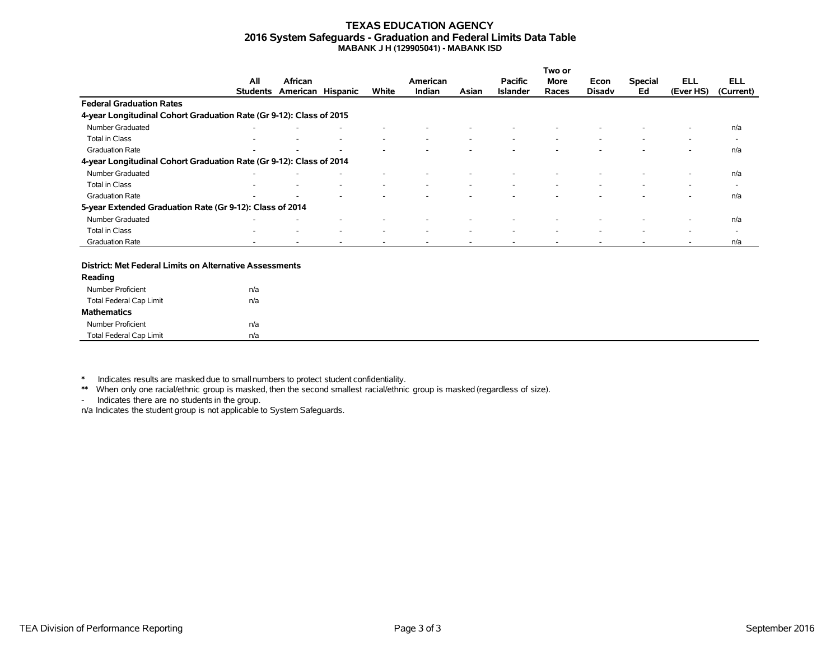#### **TEXAS EDUCATION AGENCY 2016 System Safeguards - Graduation and Federal Limits Data Table MABANK J H (129905041) - MABANK ISD**

|                                                                     |                 |                   |   |                          |          |       |                 | Two or                   |                          |                          |           |                          |
|---------------------------------------------------------------------|-----------------|-------------------|---|--------------------------|----------|-------|-----------------|--------------------------|--------------------------|--------------------------|-----------|--------------------------|
|                                                                     | All             | African           |   |                          | American |       | <b>Pacific</b>  | More                     | Econ                     | <b>Special</b>           | ELL       | <b>ELL</b>               |
|                                                                     | <b>Students</b> | American Hispanic |   | White                    | Indian   | Asian | <b>Islander</b> | Races                    | <b>Disady</b>            | Ed                       | (Ever HS) | (Current)                |
| <b>Federal Graduation Rates</b>                                     |                 |                   |   |                          |          |       |                 |                          |                          |                          |           |                          |
| 4-year Longitudinal Cohort Graduation Rate (Gr 9-12): Class of 2015 |                 |                   |   |                          |          |       |                 |                          |                          |                          |           |                          |
| Number Graduated                                                    |                 |                   |   |                          |          |       |                 |                          |                          |                          | ۰         | n/a                      |
| Total in Class                                                      |                 |                   | ٠ | $\overline{\phantom{a}}$ | ۰        |       |                 | $\overline{\phantom{a}}$ | $\overline{\phantom{a}}$ | $\overline{\phantom{a}}$ | ٠         | $\overline{\phantom{a}}$ |
| <b>Graduation Rate</b>                                              |                 |                   |   |                          |          |       |                 |                          |                          |                          |           | n/a                      |
| 4-year Longitudinal Cohort Graduation Rate (Gr 9-12): Class of 2014 |                 |                   |   |                          |          |       |                 |                          |                          |                          |           |                          |
| Number Graduated                                                    |                 |                   |   |                          |          |       |                 |                          |                          |                          | $\sim$    | n/a                      |
| Total in Class                                                      |                 |                   |   | $\overline{\phantom{a}}$ |          |       |                 |                          |                          |                          | -         | $\overline{\phantom{0}}$ |
| <b>Graduation Rate</b>                                              | -               |                   |   |                          |          |       |                 |                          |                          |                          | ۰         | n/a                      |
| 5-year Extended Graduation Rate (Gr 9-12): Class of 2014            |                 |                   |   |                          |          |       |                 |                          |                          |                          |           |                          |
| Number Graduated                                                    |                 |                   |   |                          |          |       |                 |                          |                          |                          |           | n/a                      |
| Total in Class                                                      | ۰               |                   | ۰ | $\overline{\phantom{a}}$ | ۰        |       |                 | $\overline{\phantom{a}}$ | $\sim$                   | $\overline{\phantom{a}}$ | ٠         | $\overline{\phantom{0}}$ |
| <b>Graduation Rate</b>                                              |                 |                   |   |                          |          |       |                 |                          |                          |                          |           | n/a                      |

#### **District: Met Federal Limits on Alternative Assessments**

| Reading                 |     |  |
|-------------------------|-----|--|
| Number Proficient       | n/a |  |
| Total Federal Cap Limit | n/a |  |
| <b>Mathematics</b>      |     |  |
| Number Proficient       | n/a |  |
| Total Federal Cap Limit | n/a |  |

\* Indicates results are masked due to smallnumbers to protect student confidentiality.

\*\* When only one racial/ethnic group is masked, then the second smallest racial/ethnic group is masked (regardless of size).

- Indicates there are no students in the group.

n/a Indicates the student group is not applicable to System Safeguards.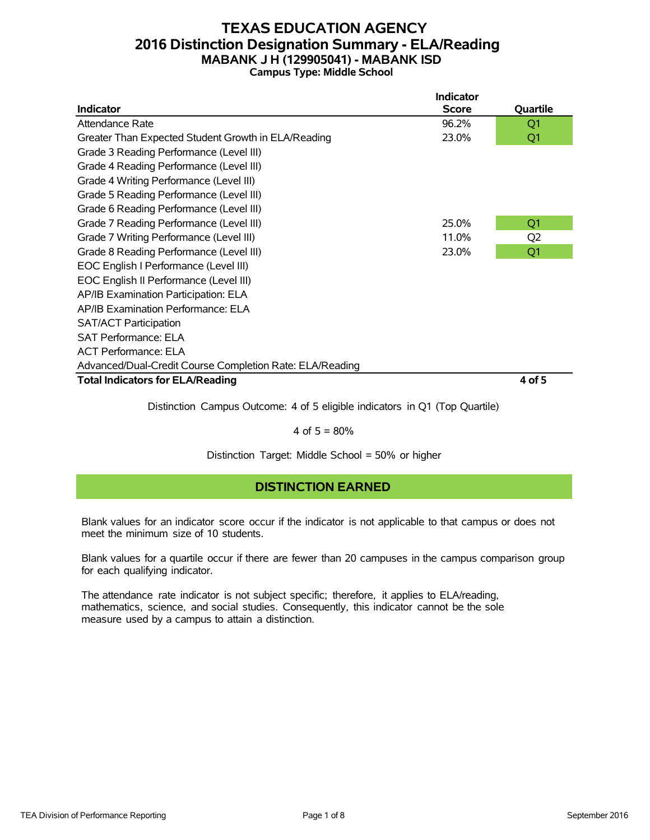### **TEXAS EDUCATION AGENCY 2016 Distinction Designation Summary - ELA/Reading MABANK J H (129905041) - MABANK ISD Campus Type: Middle School**

|                                                          | <b>Indicator</b> |                |
|----------------------------------------------------------|------------------|----------------|
| <b>Indicator</b>                                         | <b>Score</b>     | Quartile       |
| Attendance Rate                                          | 96.2%            | Q1             |
| Greater Than Expected Student Growth in ELA/Reading      | 23.0%            | Q1             |
| Grade 3 Reading Performance (Level III)                  |                  |                |
| Grade 4 Reading Performance (Level III)                  |                  |                |
| Grade 4 Writing Performance (Level III)                  |                  |                |
| Grade 5 Reading Performance (Level III)                  |                  |                |
| Grade 6 Reading Performance (Level III)                  |                  |                |
| Grade 7 Reading Performance (Level III)                  | 25.0%            | Q1             |
| Grade 7 Writing Performance (Level III)                  | 11.0%            | Q <sub>2</sub> |
| Grade 8 Reading Performance (Level III)                  | 23.0%            | Q <sub>1</sub> |
| EOC English I Performance (Level III)                    |                  |                |
| EOC English II Performance (Level III)                   |                  |                |
| AP/IB Examination Participation: ELA                     |                  |                |
| AP/IB Examination Performance: ELA                       |                  |                |
| <b>SAT/ACT Participation</b>                             |                  |                |
| <b>SAT Performance: ELA</b>                              |                  |                |
| <b>ACT Performance: ELA</b>                              |                  |                |
| Advanced/Dual-Credit Course Completion Rate: ELA/Reading |                  |                |
| <b>Total Indicators for ELA/Reading</b>                  |                  | 4 of 5         |
|                                                          |                  |                |

Distinction Campus Outcome: 4 of 5 eligible indicators in Q1 (Top Quartile)

#### 4 of  $5 = 80%$

Distinction Target: Middle School = 50% or higher

### **DISTINCTION EARNED**

Blank values for an indicator score occur if the indicator is not applicable to that campus or does not meet the minimum size of 10 students.

Blank values for a quartile occur if there are fewer than 20 campuses in the campus comparison group for each qualifying indicator.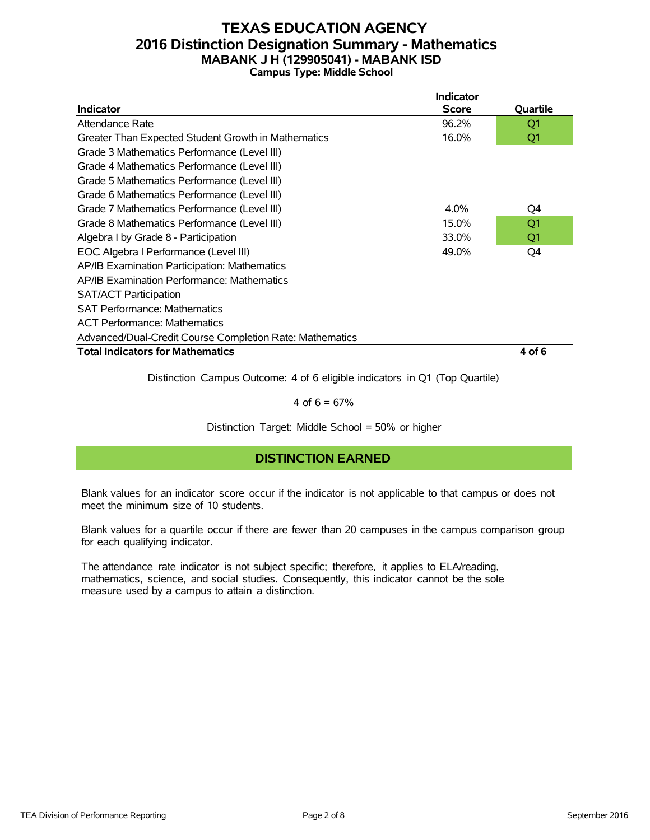### **TEXAS EDUCATION AGENCY 2016 Distinction Designation Summary - Mathematics MABANK J H (129905041) - MABANK ISD Campus Type: Middle School**

|                                                          | <b>Indicator</b> |                |
|----------------------------------------------------------|------------------|----------------|
| Indicator                                                | <b>Score</b>     | Quartile       |
| Attendance Rate                                          | 96.2%            | Q1             |
| Greater Than Expected Student Growth in Mathematics      | 16.0%            | Q1             |
| Grade 3 Mathematics Performance (Level III)              |                  |                |
| Grade 4 Mathematics Performance (Level III)              |                  |                |
| Grade 5 Mathematics Performance (Level III)              |                  |                |
| Grade 6 Mathematics Performance (Level III)              |                  |                |
| Grade 7 Mathematics Performance (Level III)              | $4.0\%$          | Q4             |
| Grade 8 Mathematics Performance (Level III)              | 15.0%            | Q <sub>1</sub> |
| Algebra I by Grade 8 - Participation                     | 33.0%            | Q1             |
| EOC Algebra I Performance (Level III)                    | 49.0%            | Q4             |
| AP/IB Examination Participation: Mathematics             |                  |                |
| AP/IB Examination Performance: Mathematics               |                  |                |
| <b>SAT/ACT Participation</b>                             |                  |                |
| <b>SAT Performance: Mathematics</b>                      |                  |                |
| <b>ACT Performance: Mathematics</b>                      |                  |                |
| Advanced/Dual-Credit Course Completion Rate: Mathematics |                  |                |
| <b>Total Indicators for Mathematics</b>                  |                  | 4 of 6         |
|                                                          |                  |                |

Distinction Campus Outcome: 4 of 6 eligible indicators in Q1 (Top Quartile)

4 of  $6 = 67%$ 

Distinction Target: Middle School = 50% or higher

### **DISTINCTION EARNED**

Blank values for an indicator score occur if the indicator is not applicable to that campus or does not meet the minimum size of 10 students.

Blank values for a quartile occur if there are fewer than 20 campuses in the campus comparison group for each qualifying indicator.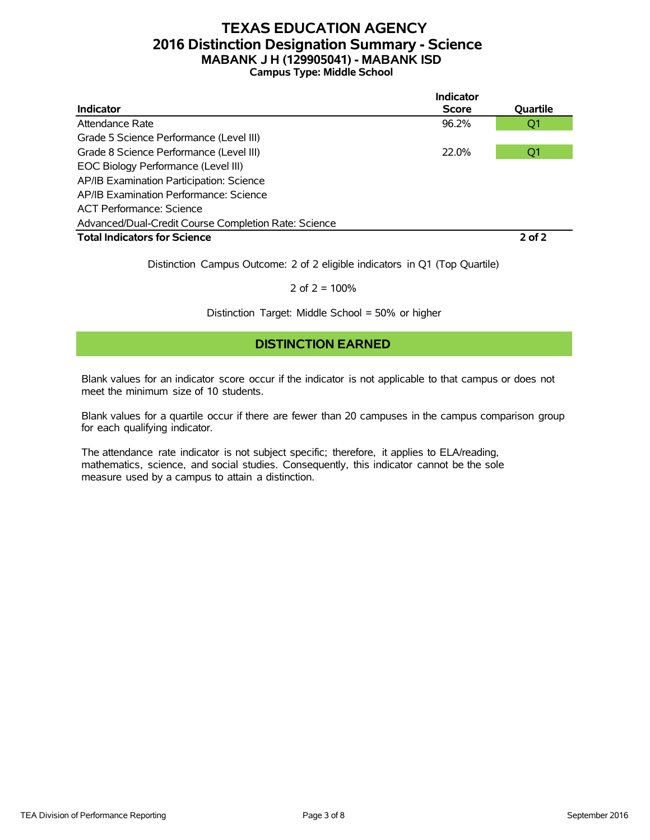### **TEXAS EDUCATION AGENCY 2016 Distinction Designation Summary - Science MABANK J H (129905041) - MABANK ISD Campus Type: Middle School**

|                                                      | Indicator         |            |
|------------------------------------------------------|-------------------|------------|
| <b>Indicator</b>                                     | <b>Score</b>      | Quartile   |
| Attendance Rate                                      | 96.2%             | Q1         |
| Grade 5 Science Performance (Level III)              |                   |            |
| Grade 8 Science Performance (Level III)              | 22.0 <sub>%</sub> | Q1         |
| EOC Biology Performance (Level III)                  |                   |            |
| AP/IB Examination Participation: Science             |                   |            |
| AP/IB Examination Performance: Science               |                   |            |
| <b>ACT Performance: Science</b>                      |                   |            |
| Advanced/Dual-Credit Course Completion Rate: Science |                   |            |
| <b>Total Indicators for Science</b>                  |                   | $2$ of $2$ |

Distinction Campus Outcome: 2 of 2 eligible indicators in Q1 (Top Quartile)

2 of  $2 = 100%$ 

Distinction Target: Middle School = 50% or higher

### **DISTINCTION EARNED**

Blank values for an indicator score occur if the indicator is not applicable to that campus or does not meet the minimum size of 10 students.

Blank values for a quartile occur if there are fewer than 20 campuses in the campus comparison group for each qualifying indicator.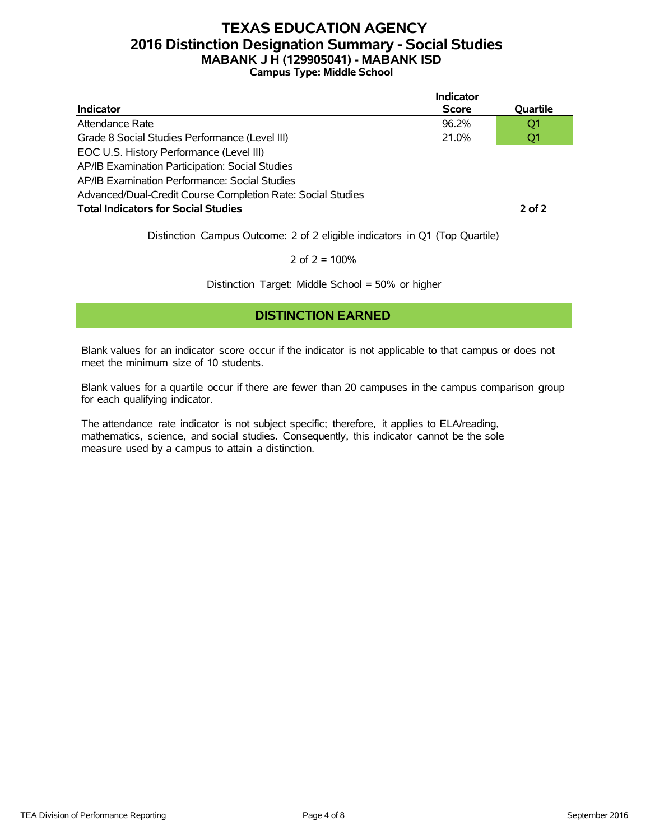### **TEXAS EDUCATION AGENCY 2016 Distinction Designation Summary - Social Studies MABANK J H (129905041) - MABANK ISD Campus Type: Middle School**

|                                                             | Indicator    |                |
|-------------------------------------------------------------|--------------|----------------|
| <b>Indicator</b>                                            | <b>Score</b> | Quartile       |
| Attendance Rate                                             | $96.2\%$     | Q <sub>1</sub> |
| Grade 8 Social Studies Performance (Level III)              | 21.0%        | Q <sub>1</sub> |
| EOC U.S. History Performance (Level III)                    |              |                |
| AP/IB Examination Participation: Social Studies             |              |                |
| AP/IB Examination Performance: Social Studies               |              |                |
| Advanced/Dual-Credit Course Completion Rate: Social Studies |              |                |
| <b>Total Indicators for Social Studies</b>                  |              | $2$ of $2$     |

Distinction Campus Outcome: 2 of 2 eligible indicators in Q1 (Top Quartile)

2 of  $2 = 100%$ 

Distinction Target: Middle School = 50% or higher

#### **DISTINCTION EARNED**

Blank values for an indicator score occur if the indicator is not applicable to that campus or does not meet the minimum size of 10 students.

Blank values for a quartile occur if there are fewer than 20 campuses in the campus comparison group for each qualifying indicator.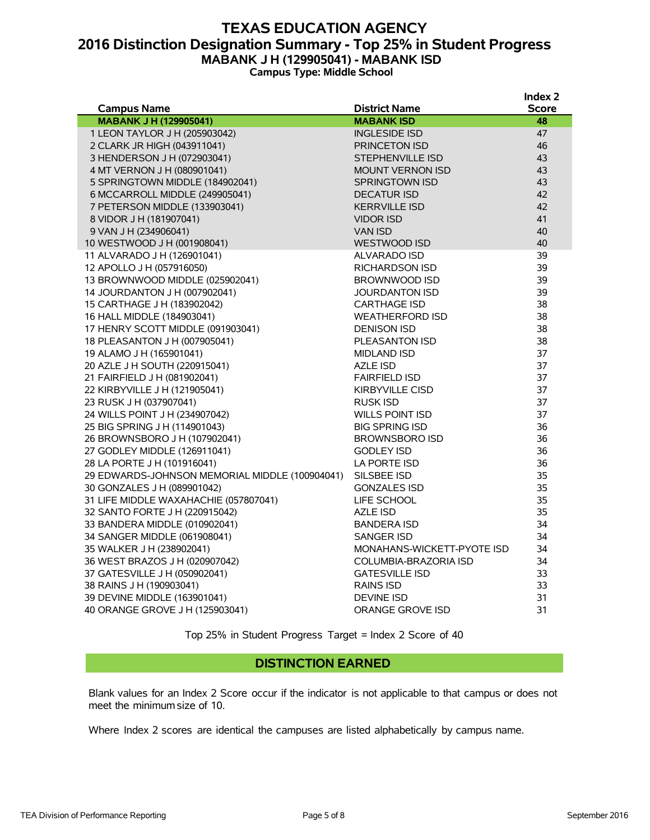### **TEXAS EDUCATION AGENCY 2016 Distinction Designation Summary - Top 25% in Student Progress MABANK J H (129905041) - MABANK ISD Campus Type: Middle School**

|                                                |                            | muex z       |
|------------------------------------------------|----------------------------|--------------|
| <b>Campus Name</b>                             | <b>District Name</b>       | <b>Score</b> |
| <b>MABANK J H (129905041)</b>                  | <b>MABANK ISD</b>          | 48           |
| 1 LEON TAYLOR J H (205903042)                  | <b>INGLESIDE ISD</b>       | 47           |
| 2 CLARK JR HIGH (043911041)                    | <b>PRINCETON ISD</b>       | 46           |
| 3 HENDERSON J H (072903041)                    | <b>STEPHENVILLE ISD</b>    | 43           |
| 4 MT VERNON J H (080901041)                    | <b>MOUNT VERNON ISD</b>    | 43           |
| 5 SPRINGTOWN MIDDLE (184902041)                | <b>SPRINGTOWN ISD</b>      | 43           |
| 6 MCCARROLL MIDDLE (249905041)                 | <b>DECATUR ISD</b>         | 42           |
| 7 PETERSON MIDDLE (133903041)                  | <b>KERRVILLE ISD</b>       | 42           |
| 8 VIDOR J H (181907041)                        | <b>VIDOR ISD</b>           | 41           |
| 9 VAN J H (234906041)                          | <b>VAN ISD</b>             | 40           |
| 10 WESTWOOD J H (001908041)                    | WESTWOOD ISD               | 40           |
| 11 ALVARADO J H (126901041)                    | ALVARADO ISD               | 39           |
| 12 APOLLO J H (057916050)                      | <b>RICHARDSON ISD</b>      | 39           |
| 13 BROWNWOOD MIDDLE (025902041)                | BROWNWOOD ISD              | 39           |
| 14 JOURDANTON J H (007902041)                  | <b>JOURDANTON ISD</b>      | 39           |
| 15 CARTHAGE J H (183902042)                    | <b>CARTHAGE ISD</b>        | 38           |
| 16 HALL MIDDLE (184903041)                     | <b>WEATHERFORD ISD</b>     | 38           |
| 17 HENRY SCOTT MIDDLE (091903041)              | <b>DENISON ISD</b>         | 38           |
| 18 PLEASANTON J H (007905041)                  | <b>PLEASANTON ISD</b>      | 38           |
| 19 ALAMO J H (165901041)                       | <b>MIDLAND ISD</b>         | 37           |
| 20 AZLE J H SOUTH (220915041)                  | <b>AZLE ISD</b>            | 37           |
| 21 FAIRFIELD J H (081902041)                   | <b>FAIRFIELD ISD</b>       | 37           |
| 22 KIRBYVILLE J H (121905041)                  | <b>KIRBYVILLE CISD</b>     | 37           |
| 23 RUSK J H (037907041)                        | <b>RUSK ISD</b>            | 37           |
| 24 WILLS POINT J H (234907042)                 | <b>WILLS POINT ISD</b>     | 37           |
| 25 BIG SPRING J H (114901043)                  | <b>BIG SPRING ISD</b>      | 36           |
| 26 BROWNSBORO J H (107902041)                  | <b>BROWNSBORO ISD</b>      | 36           |
| 27 GODLEY MIDDLE (126911041)                   | <b>GODLEY ISD</b>          | 36           |
| 28 LA PORTE J H (101916041)                    | LA PORTE ISD               | 36           |
| 29 EDWARDS-JOHNSON MEMORIAL MIDDLE (100904041) | SILSBEE ISD                | 35           |
| 30 GONZALES J H (089901042)                    | <b>GONZALES ISD</b>        | 35           |
| 31 LIFE MIDDLE WAXAHACHIE (057807041)          | LIFE SCHOOL                | 35           |
| 32 SANTO FORTE J H (220915042)                 | <b>AZLE ISD</b>            | 35           |
| 33 BANDERA MIDDLE (010902041)                  | <b>BANDERA ISD</b>         | 34           |
| 34 SANGER MIDDLE (061908041)                   | SANGER ISD                 | 34           |
| 35 WALKER J H (238902041)                      | MONAHANS-WICKETT-PYOTE ISD | 34           |
| 36 WEST BRAZOS J H (020907042)                 | COLUMBIA-BRAZORIA ISD      | 34           |
| 37 GATESVILLE J H (050902041)                  | <b>GATESVILLE ISD</b>      | 33           |
| 38 RAINS J H (190903041)                       | <b>RAINS ISD</b>           | 33           |
| 39 DEVINE MIDDLE (163901041)                   | <b>DEVINE ISD</b>          | 31           |
| 40 ORANGE GROVE J H (125903041)                | ORANGE GROVE ISD           | 31           |
|                                                |                            |              |

Top 25% in Student Progress Target = Index 2 Score of 40

#### **DISTINCTION EARNED**

Blank values for an Index 2 Score occur if the indicator is not applicable to that campus or does not meet the minimum size of 10.

Where Index 2 scores are identical the campuses are listed alphabetically by campus name.

**Index 2**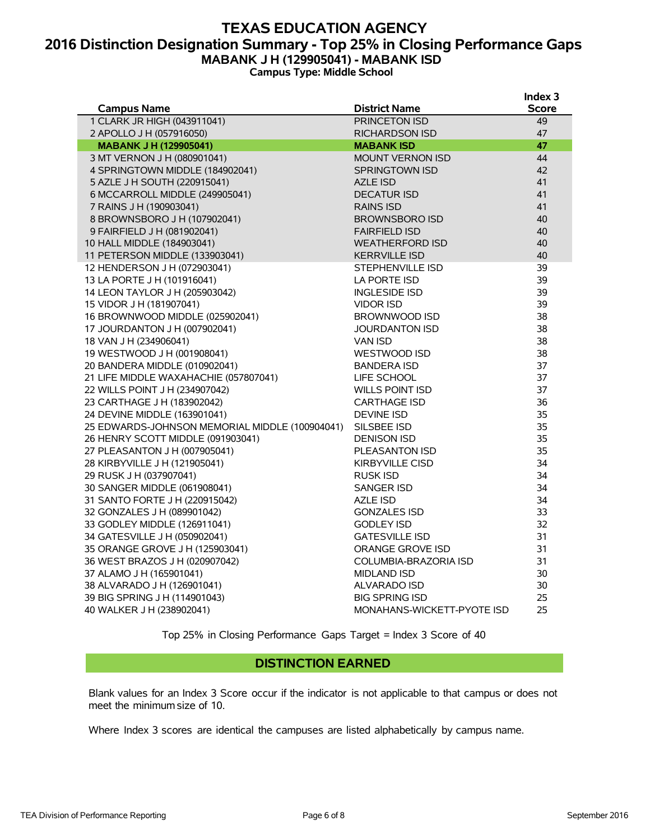### **TEXAS EDUCATION AGENCY 2016 Distinction Designation Summary - Top 25% in Closing Performance Gaps MABANK J H (129905041) - MABANK ISD Campus Type: Middle School**

|                                                |                            | Index <sub>3</sub> |
|------------------------------------------------|----------------------------|--------------------|
| <b>Campus Name</b>                             | <b>District Name</b>       | <b>Score</b>       |
| 1 CLARK JR HIGH (043911041)                    | PRINCETON ISD              | 49                 |
| 2 APOLLO J H (057916050)                       | RICHARDSON ISD             | 47                 |
| <b>MABANK J H (129905041)</b>                  | <b>MABANK ISD</b>          | 47                 |
| 3 MT VERNON J H (080901041)                    | <b>MOUNT VERNON ISD</b>    | 44                 |
| 4 SPRINGTOWN MIDDLE (184902041)                | <b>SPRINGTOWN ISD</b>      | 42                 |
| 5 AZLE J H SOUTH (220915041)                   | <b>AZLE ISD</b>            | 41                 |
| 6 MCCARROLL MIDDLE (249905041)                 | <b>DECATUR ISD</b>         | 41                 |
| 7 RAINS J H (190903041)                        | <b>RAINS ISD</b>           | 41                 |
| 8 BROWNSBORO J H (107902041)                   | <b>BROWNSBORO ISD</b>      | 40                 |
| 9 FAIRFIELD J H (081902041)                    | <b>FAIRFIELD ISD</b>       | 40                 |
| 10 HALL MIDDLE (184903041)                     | <b>WEATHERFORD ISD</b>     | 40                 |
| 11 PETERSON MIDDLE (133903041)                 | <b>KERRVILLE ISD</b>       | 40                 |
| 12 HENDERSON J H (072903041)                   | STEPHENVILLE ISD           | 39                 |
| 13 LA PORTE J H (101916041)                    | LA PORTE ISD               | 39                 |
| 14 LEON TAYLOR J H (205903042)                 | <b>INGLESIDE ISD</b>       | 39                 |
| 15 VIDOR J H (181907041)                       | <b>VIDOR ISD</b>           | 39                 |
| 16 BROWNWOOD MIDDLE (025902041)                | BROWNWOOD ISD              | 38                 |
| 17 JOURDANTON J H (007902041)                  | <b>JOURDANTON ISD</b>      | 38                 |
| 18 VAN J H (234906041)                         | <b>VAN ISD</b>             | 38                 |
| 19 WESTWOOD J H (001908041)                    | WESTWOOD ISD               | 38                 |
| 20 BANDERA MIDDLE (010902041)                  | <b>BANDERA ISD</b>         | 37                 |
| 21 LIFE MIDDLE WAXAHACHIE (057807041)          | LIFE SCHOOL                | 37                 |
| 22 WILLS POINT J H (234907042)                 | WILLS POINT ISD            | 37                 |
| 23 CARTHAGE J H (183902042)                    | <b>CARTHAGE ISD</b>        | 36                 |
| 24 DEVINE MIDDLE (163901041)                   | <b>DEVINE ISD</b>          | 35                 |
| 25 EDWARDS-JOHNSON MEMORIAL MIDDLE (100904041) | SILSBEE ISD                | 35                 |
| 26 HENRY SCOTT MIDDLE (091903041)              | <b>DENISON ISD</b>         | 35                 |
| 27 PLEASANTON J H (007905041)                  | PLEASANTON ISD             | 35                 |
| 28 KIRBYVILLE J H (121905041)                  | <b>KIRBYVILLE CISD</b>     | 34                 |
| 29 RUSK J H (037907041)                        | <b>RUSK ISD</b>            | 34                 |
| 30 SANGER MIDDLE (061908041)                   | <b>SANGER ISD</b>          | 34                 |
| 31 SANTO FORTE J H (220915042)                 | <b>AZLE ISD</b>            | 34                 |
| 32 GONZALES J H (089901042)                    | <b>GONZALES ISD</b>        | 33                 |
| 33 GODLEY MIDDLE (126911041)                   | <b>GODLEY ISD</b>          | 32                 |
| 34 GATESVILLE J H (050902041)                  | <b>GATESVILLE ISD</b>      | 31                 |
| 35 ORANGE GROVE J H (125903041)                | ORANGE GROVE ISD           | 31                 |
| 36 WEST BRAZOS J H (020907042)                 | COLUMBIA-BRAZORIA ISD      | 31                 |
| 37 ALAMO J H (165901041)                       | <b>MIDLAND ISD</b>         | 30                 |
| 38 ALVARADO J H (126901041)                    | ALVARADO ISD               | 30                 |
| 39 BIG SPRING J H (114901043)                  | <b>BIG SPRING ISD</b>      | 25                 |
| 40 WALKER J H (238902041)                      | MONAHANS-WICKETT-PYOTE ISD | 25                 |
|                                                |                            |                    |

Top 25% in Closing Performance Gaps Target = Index 3 Score of 40

#### **DISTINCTION EARNED**

Blank values for an Index 3 Score occur if the indicator is not applicable to that campus or does not meet the minimum size of 10.

Where Index 3 scores are identical the campuses are listed alphabetically by campus name.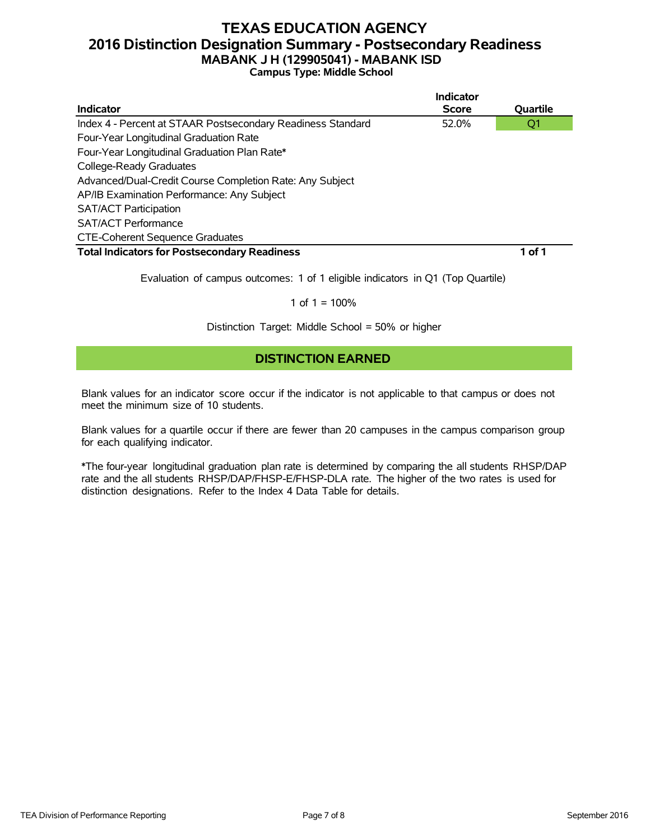### **TEXAS EDUCATION AGENCY 2016 Distinction Designation Summary - Postsecondary Readiness MABANK J H (129905041) - MABANK ISD Campus Type: Middle School**

|                                                             | <b>Indicator</b> |          |
|-------------------------------------------------------------|------------------|----------|
| Indicator                                                   | <b>Score</b>     | Quartile |
| Index 4 - Percent at STAAR Postsecondary Readiness Standard | 52.0%            | Q1       |
| Four-Year Longitudinal Graduation Rate                      |                  |          |
| Four-Year Longitudinal Graduation Plan Rate*                |                  |          |
| College-Ready Graduates                                     |                  |          |
| Advanced/Dual-Credit Course Completion Rate: Any Subject    |                  |          |
| AP/IB Examination Performance: Any Subject                  |                  |          |
| <b>SAT/ACT Participation</b>                                |                  |          |
| <b>SAT/ACT Performance</b>                                  |                  |          |
| <b>CTE-Coherent Sequence Graduates</b>                      |                  |          |
| <b>Total Indicators for Postsecondary Readiness</b>         |                  | 1 of 1   |

Evaluation of campus outcomes: 1 of 1 eligible indicators in Q1 (Top Quartile)

#### 1 of  $1 = 100%$

Distinction Target: Middle School = 50% or higher

### **DISTINCTION EARNED**

Blank values for an indicator score occur if the indicator is not applicable to that campus or does not meet the minimum size of 10 students.

Blank values for a quartile occur if there are fewer than 20 campuses in the campus comparison group for each qualifying indicator.

\*The four-year longitudinal graduation plan rate is determined by comparing the all students RHSP/DAP rate and the all students RHSP/DAP/FHSP-E/FHSP-DLA rate. The higher of the two rates is used for distinction designations. Refer to the Index 4 Data Table for details.